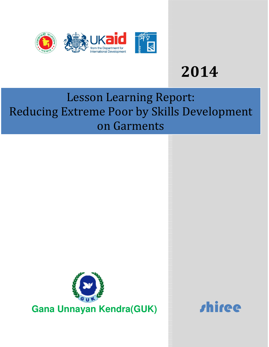

# **2014**

# Lesson Learning Report: Reducing Extreme Poor by Skills Development on Garments



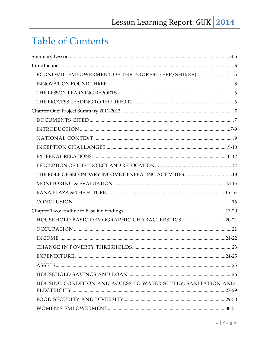# **Table of Contents**

| ECONOMIC EMPOWERMENT OF THE POOREST (EEP/SHIREE) 5           |
|--------------------------------------------------------------|
|                                                              |
|                                                              |
|                                                              |
|                                                              |
|                                                              |
|                                                              |
|                                                              |
|                                                              |
|                                                              |
|                                                              |
|                                                              |
|                                                              |
|                                                              |
|                                                              |
|                                                              |
|                                                              |
|                                                              |
|                                                              |
|                                                              |
|                                                              |
|                                                              |
|                                                              |
| HOUSING CONDITION AND ACCESS TO WATER SUPPLY, SANITATION AND |
|                                                              |
|                                                              |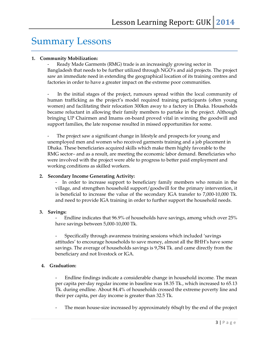### Summary Lessons

#### **1. Community Mobilization:**

Ready Made Garments (RMG) trade is an increasingly growing sector in Bangladesh that needs to be further utilized through NGO's and aid projects. The project saw an immediate need in extending the geographical location of its training centres and factories in order to have a greater impact on the extreme poor communities.

In the initial stages of the project, rumours spread within the local community of human trafficking as the project's model required training participants (often young women) and facilitating their relocation 300km away to a factory in Dhaka. Households became reluctant in allowing their family members to partake in the project. Although bringing UP Chairmen and Imams on-board proved vital in winning the goodwill and support families, the late response resulted in missed opportunities for some.

The project saw a significant change in lifestyle and prospects for young and unemployed men and women who received garments training and a job placement in Dhaka. These beneficiaries acquired skills which make them highly favorable to the RMG sector– and as a result, are meeting the economic labor demand. Beneficiaries who were involved with the project were able to progress to better paid employment and working conditions as skilled workers.

#### **2. Secondary Income Generating Activity:**

- In order to increase support to beneficiary family members who remain in the village, and strengthen household support/goodwill for the primary intervention, it is beneficial to increase the value of the secondary IGA transfer to 7,000-10,000 Tk. and need to provide IGA training in order to further support the household needs.

#### **3. Savings:**

Endline indicates that 96.9% of households have savings, among which over 25% have savings between 5,000-10,000 Tk.

- Specifically through awareness training sessions which included 'savings attitudes' to encourage households to save money, almost all the BHH's have some savings. The average of households savings is 9,784 Tk. and came directly from the beneficiary and not livestock or IGA.

#### **4. Graduation:**

- Endline findings indicate a considerable change in household income. The mean per capita per-day regular income in baseline was 18.35 Tk., which increased to 65.13 Tk. during endline. About 84.4% of households crossed the extreme poverty line and their per capita, per day income is greater than 32.5 Tk.

The mean house-size increased by approximately 60sqft by the end of the project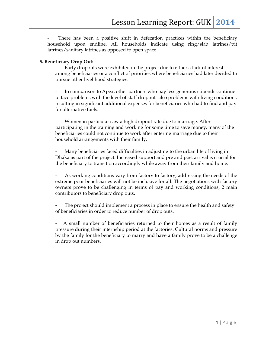There has been a positive shift in defecation practices within the beneficiary household upon endline. All households indicate using ring/slab latrines/pit latrines/sanitary latrines as opposed to open space.

#### **5. Beneficiary Drop Out:**

- Early dropouts were exhibited in the project due to either a lack of interest among beneficiaries or a conflict of priorities where beneficiaries had later decided to pursue other livelihood strategies.

In comparison to Apex, other partners who pay less generous stipends continue to face problems with the level of staff dropout- also problems with living conditions resulting in significant additional expenses for beneficiaries who had to find and pay for alternative fuels.

Women in particular saw a high dropout rate due to marriage. After participating in the training and working for some time to save money, many of the beneficiaries could not continue to work after entering marriage due to their household arrangements with their family.

Many beneficiaries faced difficulties in adjusting to the urban life of living in Dhaka as part of the project. Increased support and pre and post arrival is crucial for the beneficiary to transition accordingly while away from their family and home.

As working conditions vary from factory to factory, addressing the needs of the extreme poor beneficiaries will not be inclusive for all. The negotiations with factory owners prove to be challenging in terms of pay and working conditions; 2 main contributors to beneficiary drop outs.

The project should implement a process in place to ensure the health and safety of beneficiaries in order to reduce number of drop outs.

- A small number of beneficiaries returned to their homes as a result of family pressure during their internship period at the factories. Cultural norms and pressure by the family for the beneficiary to marry and have a family prove to be a challenge in drop out numbers.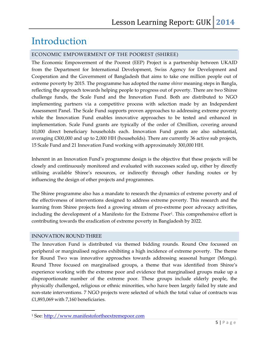### Introduction

#### ECONOMIC EMPOWERMENT OF THE POOREST (SHIREE)

The Economic Empowerment of the Poorest (EEP) Project is a partnership between UKAID from the Department for International Development, Swiss Agency for Development and Cooperation and the Government of Bangladesh that aims to take one million people out of extreme poverty by 2015. The programme has adopted the name *shiree* meaning steps in Bangla, reflecting the approach towards helping people to progress out of poverty. There are two Shiree challenge funds, the Scale Fund and the Innovation Fund. Both are distributed to NGO implementing partners via a competitive process with selection made by an Independent Assessment Panel. The Scale Fund supports proven approaches to addressing extreme poverty while the Innovation Fund enables innovative approaches to be tested and enhanced in implementation. Scale Fund grants are typically of the order of £3million, covering around 10,000 direct beneficiary households each. Innovation Fund grants are also substantial, averaging £300,000 and up to 2,000 HH (households). There are currently 36 active sub projects, 15 Scale Fund and 21 Innovation Fund working with approximately 300,000 HH.

Inherent in an Innovation Fund's programme design is the objective that these projects will be closely and continuously monitored and evaluated with successes scaled up, either by directly utilising available Shiree's resources, or indirectly through other funding routes or by influencing the design of other projects and programmes.

The Shiree programme also has a mandate to research the dynamics of extreme poverty and of the effectiveness of interventions designed to address extreme poverty. This research and the learning from Shiree projects feed a growing stream of pro-extreme poor advocacy activities, including the development of a Manifesto for the Extreme Poor<sup>1</sup>. This comprehensive effort is contributing towards the eradication of extreme poverty in Bangladesh by 2022.

#### INNOVATION ROUND THREE

 $\overline{a}$ 

The Innovation Fund is distributed via themed bidding rounds. Round One focussed on peripheral or marginalised regions exhibiting a high incidence of extreme poverty. The theme for Round Two was innovative approaches towards addressing seasonal hunger (Monga). Round Three focused on marginalised groups, a theme that was identified from Shiree's experience working with the extreme poor and evidence that marginalised groups make up a disproportionate number of the extreme poor. These groups include elderly people, the physically challenged, religious or ethnic minorities, who have been largely failed by state and non-state interventions. 7 NGO projects were selected of which the total value of contracts was £1,893,069 with 7,160 beneficiaries.

<sup>1</sup> See: http://www.manifestofortheextremepoor.com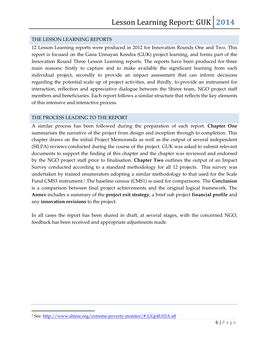#### THE LESSON LEARNING REPORTS

12 Lesson Learning reports were produced in 2012 for Innovation Rounds One and Two. This report is focused on the Gana Unnayan Kendra (GUK) project learning, and forms part of the Innovation Round Three Lesson Learning reports. The reports have been produced for three main reasons: firstly to capture and to make available the significant learning from each individual project, secondly to provide an impact assessment that can inform decisions regarding the potential scale up of project activities, and thirdly, to provide an instrument for interaction, reflection and appreciative dialogue between the Shiree team, NGO project staff members and beneficiaries. Each report follows a similar structure that reflects the key elements of this intensive and interactive process.

#### THE PROCESS LEADING TO THE REPORT

A similar process has been followed during the preparation of each report. **Chapter One**  summarises the narrative of the project from design and inception through to completion. This chapter draws on the initial Project Memoranda as well as the output of several independent (SILPA) reviews conducted during the course of the project. GUK was asked to submit relevant documents to support the finding of this chapter and the chapter was reviewed and endorsed by the NGO project staff prior to finalisation. **Chapter Two** outlines the output of an Impact Survey conducted according to a standard methodology for all 12 projects. This survey was undertaken by trained enumerators adopting a similar methodology to that used for the Scale Fund CMS3 instrument.2 The baseline census (CMS1) is used for comparisons. The **Conclusion** is a comparison between final project achievements and the original logical framework. The **Annex** includes a summary of the **project exit strategy**, a brief sub project **financial profile** and any **innovation revisions** to the project.

In all cases the report has been shared in draft, at several stages, with the concerned NGO, feedback has been received and appropriate adjustments made.

 $\overline{a}$ 

<sup>&</sup>lt;sup>2</sup> See: <u>http://www.shiree.org/extreme-poverty-monitor/#.UGp4U03A-a8</u>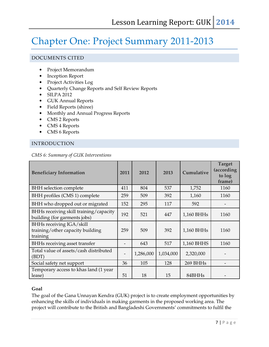## Chapter One: Project Summary 2011-2013

#### DOCUMENTS CITED

- Project Memorandum
- Inception Report
- Project Activities Log
- Quarterly Change Reports and Self Review Reports
- SILPA 2012
- GUK Annual Reports
- Field Reports (shiree)
- Monthly and Annual Progress Reports
- CMS 2 Reports
- CMS 4 Reports
- CMS 6 Reports

#### INTRODUCTION

|  |  |  | CMS 6: Summary of GUK Interventions |
|--|--|--|-------------------------------------|
|--|--|--|-------------------------------------|

| <b>Beneficiary Information</b>                                           | 2011 | 2012      | 2013      | Cumulative | <b>Target</b><br>(according<br>to log<br>frame) |
|--------------------------------------------------------------------------|------|-----------|-----------|------------|-------------------------------------------------|
| <b>BHH</b> selection complete                                            | 411  | 804       | 537       | 1,752      | 1160                                            |
| BHH profiles (CMS 1) complete                                            | 259  | 509       | 392       | 1,160      | 1160                                            |
| BHH who dropped out or migrated                                          | 152  | 295       | 117       | 592        |                                                 |
| BHHs receiving skill training/capacity<br>building (for garments jobs)   | 192  | 521       | 447       | 1,160 BHHs | 1160                                            |
| BHHs receiving IGA/skill<br>training/other capacity building<br>training | 259  | 509       | 392       | 1,160 BHHs | 1160                                            |
| BHHs receiving asset transfer                                            |      | 643       | 517       | 1,160 BHHS | 1160                                            |
| Total value of assets/cash distributed<br>(BDT)                          |      | 1,286,000 | 1,034,000 | 2,320,000  |                                                 |
| Social safety net support                                                | 36   | 105       | 128       | 269 BHHs   |                                                 |
| Temporary access to khas land (1 year<br>lease)                          | 51   | 18        | 15        | 84BHHs     |                                                 |

#### **Goal**

The goal of the Gana Unnayan Kendra (GUK) project is to create employment opportunities by enhancing the skills of individuals in making garments in the proposed working area. The project will contribute to the British and Bangladeshi Governments' commitments to fulfil the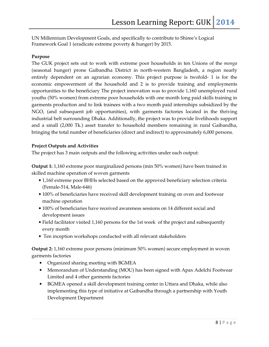UN Millennium Development Goals, and specifically to contribute to Shiree's Logical Framework Goal 1 (eradicate extreme poverty & hunger) by 2015.

#### **Purpose**

The GUK project sets out to work with extreme poor households in ten Unions of the *monga* (seasonal hunger) prone Gaibandha District in north-western Bangladesh, a region nearly entirely dependent on an agrarian economy. This project purpose is twofold- 1 is for the economic empowerment of the household and 2 is to provide training and employments opportunities to the beneficiary The project innovation was to provide 1,160 unemployed rural youths (50% women) from extreme poor households with one month long paid skills training in garments production and to link trainees with a two month paid internships subsidized by the NGO, (and subsequent job opportunities), with garments factories located in the thriving industrial belt surrounding Dhaka. Additionally, the project was to provide livelihoods support and a small (2,000 Tk.) asset transfer to household members remaining in rural Gaibandha, bringing the total number of beneficiaries (direct and indirect) to approximately 6,000 persons.

#### **Project Outputs and Activities**

The project has 3 main outputs and the following activities under each output:

**Output 1:** 1,160 extreme poor marginalized persons (min 50% women) have been trained in skilled machine operation of woven garments

- 1,160 extreme poor BHHs selected based on the approved beneficiary selection criteria (Female-514, Male-646)
- 100% of beneficiaries have received skill development training on oven and footwear machine operation
- 100% of beneficiaries have received awareness sessions on 14 different social and development issues
- Field facilitator visited 1,160 persons for the 1st week of the project and subsequently every month
- Ten inception workshops conducted with all relevant stakeholders

**Output 2:** 1,160 extreme poor persons (minimum 50% women) secure employment in woven garments factories

- Organized sharing meeting with BGMEA
- Memorandum of Understanding (MOU) has been signed with Apax Adelchi Footwear Limited and 4 other garments factories
- BGMEA opened a skill development training center in Uttara and Dhaka, while also implementing this type of initiative at Gaibandha through a partnership with Youth Development Department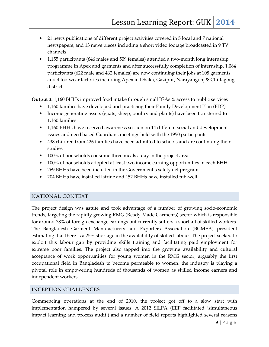- 21 news publications of different project activities covered in 5 local and 7 national newspapers, and 13 news pieces including a short video footage broadcasted in 9 TV channels
- 1,155 participants (646 males and 509 females) attended a two-month long internship programme in Apex and garments and after successfully completion of internship, 1,084 participants (622 male and 462 females) are now continuing their jobs at 108 garments and 4 footwear factories including Apex in Dhaka, Gazipur, Narayangonj & Chittagong district

**Output 3:** 1,160 BHHs improved food intake through small IGAs & access to public services

- 1,160 families have developed and practicing their Family Development Plan (FDP)
- Income generating assets (goats, sheep, poultry and plants) have been transferred to 1,160 families
- 1,160 BHHs have received awareness session on 14 different social and development issues and need based Guardians meetings held with the 1950 participants
- 438 children from 426 families have been admitted to schools and are continuing their studies
- 100% of households consume three meals a day in the project area
- 100% of households adopted at least two income earning opportunities in each BHH
- 269 BHHs have been included in the Government's safety net program
- 204 BHHs have installed latrine and 152 BHHs have installed tub-well

#### NATIONAL CONTEXT

The project design was astute and took advantage of a number of growing socio-economic trends, targeting the rapidly growing RMG (Ready-Made Garments) sector which is responsible for around 78% of foreign exchange earnings but currently suffers a shortfall of skilled workers. The Bangladesh Garment Manufacturers and Exporters Association (BGMEA) president estimating that there is a 25% shortage in the availability of skilled labour. The project seeked to exploit this labour gap by providing skills training and facilitating paid employment for extreme poor families. The project also tapped into the growing availability and cultural acceptance of work opportunities for young women in the RMG sector; arguably the first occupational field in Bangladesh to become permeable to women, the industry is playing a pivotal role in empowering hundreds of thousands of women as skilled income earners and independent workers.

#### INCEPTION CHALLENGES

Commencing operations at the end of 2010, the project got off to a slow start with implementation hampered by several issues. A 2012 SILPA (EEP facilitated 'simultaneous impact learning and process audit') and a number of field reports highlighted several reasons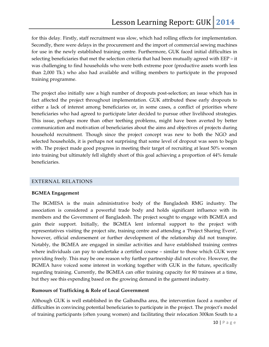for this delay. Firstly, staff recruitment was slow, which had rolling effects for implementation. Secondly, there were delays in the procurement and the import of commercial sewing machines for use in the newly established training centre. Furthermore, GUK faced initial difficulties in selecting beneficiaries that met the selection criteria that had been mutually agreed with EEP – it was challenging to find households who were both extreme poor (productive assets worth less than 2,000 Tk.) who also had available and willing members to participate in the proposed training programme.

The project also initially saw a high number of dropouts post-selection; an issue which has in fact affected the project throughout implementation. GUK attributed these early dropouts to either a lack of interest among beneficiaries or, in some cases, a conflict of priorities where beneficiaries who had agreed to participate later decided to pursue other livelihood strategies. This issue, perhaps more than other teething problems, might have been averted by better communication and motivation of beneficiaries about the aims and objectives of projects during household recruitment. Though since the project concept was new to both the NGO and selected households, it is perhaps not surprising that some level of dropout was seen to begin with. The project made good progress in meeting their target of recruiting at least 50% women into training but ultimately fell slightly short of this goal achieving a proportion of 44% female beneficiaries.

#### EXTERNAL RELATIONS

#### **BGMEA Engagement**

The BGMESA is the main administrative body of the Bangladesh RMG industry. The association is considered a powerful trade body and holds significant influence with its members and the Government of Bangladesh. The project sought to engage with BGMEA and gain their support. Initially, the BGMEA lent informal support to the project with representatives visiting the project site, training centre and attending a 'Project Sharing Event', however, official endorsement or further development of the relationship did not transpire. Notably, the BGMEA are engaged in similar activities and have established training centres where individuals can pay to undertake a certified course – similar to those which GUK were providing freely. This may be one reason why further partnership did not evolve. However, the BGMEA have voiced some interest in working together with GUK in the future, specifically regarding training. Currently, the BGMEA can offer training capacity for 80 trainees at a time, but they see this expending based on the growing demand in the garment industry.

#### **Rumours of Trafficking & Role of Local Government**

Although GUK is well established in the Gaibandha area, the intervention faced a number of difficulties in convincing potential beneficiaries to participate in the project. The project's model of training participants (often young women) and facilitating their relocation 300km South to a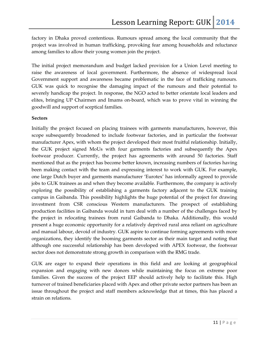factory in Dhaka proved contentious. Rumours spread among the local community that the project was involved in human trafficking, provoking fear among households and reluctance among families to allow their young women join the project.

The initial project memorandum and budget lacked provision for a Union Level meeting to raise the awareness of local government. Furthermore, the absence of widespread local Government support and awareness became problematic in the face of trafficking rumours. GUK was quick to recognise the damaging impact of the rumours and their potential to severely handicap the project. In response, the NGO acted to better orientate local leaders and elites, bringing UP Chairmen and Imams on-board, which was to prove vital in winning the goodwill and support of sceptical families.

#### **Sectors**

Initially the project focused on placing trainees with garments manufacturers, however, this scope subsequently broadened to include footwear factories, and in particular the footwear manufacturer Apex, with whom the project developed their most fruitful relationship. Initially, the GUK project signed MoUs with four garments factories and subsequently the Apex footwear producer. Currently, the project has agreements with around 50 factories. Staff mentioned that as the project has become better known, increasing numbers of factories having been making contact with the team and expressing interest to work with GUK. For example, one large Dutch buyer and garments manufacturer 'Eurotex' has informally agreed to provide jobs to GUK trainees as and when they become available. Furthermore, the company is actively exploring the possibility of establishing a garments factory adjacent to the GUK training campus in Gaibanda. This possibility highlights the huge potential of the project for drawing investment from CSR conscious Western manufacturers. The prospect of establishing production facilities in Gaibanda would in turn deal with a number of the challenges faced by the project in relocating trainees from rural Gaibanda to Dhaka. Additionally, this would present a huge economic opportunity for a relatively deprived rural area reliant on agriculture and manual labour, devoid of industry. GUK aspire to continue forming agreements with more organizations, they identify the booming garments sector as their main target and noting that although one successful relationship has been developed with APEX footwear, the footwear sector does not demonstrate strong growth in comparison with the RMG trade.

GUK are eager to expand their operations in this field and are looking at geographical expansion and engaging with new donors while maintaining the focus on extreme poor families. Given the success of the project EEP should actively help to facilitate this. High turnover of trained beneficiaries placed with Apex and other private sector partners has been an issue throughout the project and staff members acknowledge that at times, this has placed a strain on relations.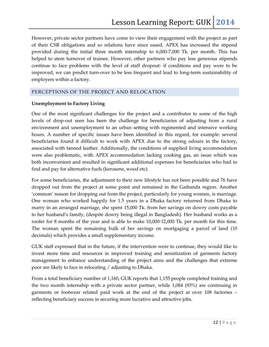However, private sector partners have come to view their engagement with the project as part of their CSR obligations and so relations have since eased. APEX has increased the stipend provided during the initial three month internship to 6,000-7,000 Tk. per month. This has helped to stem turnover of trainee. However, other partners who pay less generous stipends continue to face problems with the level of staff dropout- if conditions and pay were to be improved, we can predict turn-over to be less frequent and lead to long-term sustainability of employers within a factory.

#### PERCEPTIONS OF THE PROJECT AND RELOCATION

#### **Unemployment to Factory Living**

One of the most significant challenges for the project and a contributor to some of the high levels of drop-out seen has been the challenge for beneficiaries of adjusting from a rural environment and unemployment to an urban setting with regimented and intensive working hours. A number of specific issues have been identified in this regard, for example: several beneficiaries found it difficult to work with APEX due to the strong odours in the factory, associated with tanned leather. Additionally, the conditions of supplied living accommodation were also problematic, with APEX accommodation lacking cooking gas, an issue which was both inconvenient and resulted in significant additional expenses for beneficiaries who had to find and pay for alternative fuels (kerosene, wood etc).

For some beneficiaries, the adjustment to their new lifestyle has not been possible and 76 have dropped out from the project at some point and remained in the Gaibanda region. Another 'common' reason for dropping out from the project, particularly for young women, is marriage. One woman who worked happily for 1.5 years in a Dhaka factory returned from Dhaka to marry in an arranged marriage, she spent 15,000 Tk. from her savings on dowry costs payable to her husband's family, (despite dowry being illegal in Bangladesh). Her husband works as a roofer for 8 months of the year and is able to make 10,000-12,000 Tk. per month for this time. The woman spent the remaining bulk of her savings on mortgaging a parcel of land (10 decimals) which provides a small supplementary income.

GUK staff expressed that in the future, if the intervention were to continue, they would like to invest more time and resources in improved training and sensitization of garments factory management to enhance understanding of the project aims and the challenges that extreme poor are likely to face in relocating / adjusting to Dhaka.

From a total beneficiary number of 1,160, GUK reports that 1,155 people completed training and the two month internship with a private sector partner, while 1,084 (93%) are continuing in garments or footwear related paid work at the end of the project at over 108 factories – reflecting beneficiary success in securing more lucrative and attractive jobs.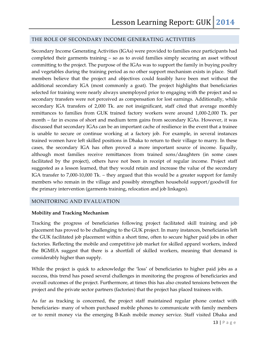#### THE ROLE OF SECONDARY INCOME GENERATING ACTIVITIES

Secondary Income Generating Activities (IGAs) were provided to families once participants had completed their garments training – so as to avoid families simply securing an asset without committing to the project. The purpose of the IGAs was to support the family in buying poultry and vegetables during the training period as no other support mechanism exists in place. Staff members believe that the project and objectives could feasibly have been met without the additional secondary IGA (most commonly a goat). The project highlights that beneficiaries selected for training were nearly always unemployed prior to engaging with the project and so secondary transfers were not perceived as compensation for lost earnings. Additionally, while secondary IGA transfers of 2,000 Tk. are not insignificant, staff cited that average monthly remittances to families from GUK trained factory workers were around 1,000-2,000 Tk. per month – far in excess of short and medium term gains from secondary IGAs. However, it was discussed that secondary IGAs can be an important cache of resilience in the event that a trainee is unable to secure or continue working at a factory job. For example, in several instances trained women have left skilled positions in Dhaka to return to their village to marry. In these cases, the secondary IGA has often proved a more important source of income. Equally, although most families receive remittances from trained sons/daughters (in some cases facilitated by the project), others have not been in receipt of regular income. Project staff suggested as a lesson learned, that they would retain and increase the value of the secondary IGA transfer to 7,000-10,000 Tk. – they argued that this would be a greater support for family members who remain in the village and possibly strengthen household support/goodwill for the primary intervention (garments training, relocation and job linkages).

#### MONITORING AND EVALUATION

#### **Mobility and Tracking Mechanism**

Tracking the progress of beneficiaries following project facilitated skill training and job placement has proved to be challenging to the GUK project. In many instances, beneficiaries left the GUK facilitated job placement within a short time, often to secure higher paid jobs in other factories. Reflecting the mobile and competitive job market for skilled apparel workers, indeed the BGMEA suggest that there is a shortfall of skilled workers, meaning that demand is considerably higher than supply.

While the project is quick to acknowledge the 'loss' of beneficiaries to higher paid jobs as a success, this trend has posed several challenges in monitoring the progress of beneficiaries and overall outcomes of the project. Furthermore, at times this has also created tensions between the project and the private sector partners (factories) that the project has placed trainees with.

As far as tracking is concerned, the project staff maintained regular phone contact with beneficiaries- many of whom purchased mobile phones to communicate with family members or to remit money via the emerging B-Kash mobile money service. Staff visited Dhaka and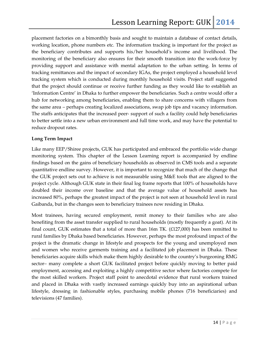placement factories on a bimonthly basis and sought to maintain a database of contact details, working location, phone numbers etc. The information tracking is important for the project as the beneficiary contributes and supports his/her household's income and livelihood. The monitoring of the beneficiary also ensures for their smooth transition into the work-force by providing support and assistance with mental adaptation to the urban setting. In terms of tracking remittances and the impact of secondary IGAs, the project employed a household level tracking system which is conducted during monthly household visits. Project staff suggested that the project should continue or receive further funding as they would like to establish an 'Information Centre' in Dhaka to further empower the beneficiaries. Such a centre would offer a hub for networking among beneficiaries, enabling them to share concerns with villagers from the same area – perhaps creating localized associations, swap job tips and vacancy information. The staffs anticipates that the increased peer- support of such a facility could help beneficiaries to better settle into a new urban environment and full time work, and may have the potential to reduce dropout rates.

#### **Long Term Impact**

Like many EEP/Shiree projects, GUK has participated and embraced the portfolio wide change monitoring system. This chapter of the Lesson Learning report is accompanied by endline findings based on the gains of beneficiary households as observed in CMS tools and a separate quantitative endline survey. However, it is important to recognize that much of the change that the GUK project sets out to achieve is not measurable using M&E tools that are aligned to the project cycle. Although GUK state in their final log frame reports that 100% of households have doubled their income over baseline and that the average value of household assets has increased 80%, perhaps the greatest impact of the project is not seen at household level in rural Gaibanda, but in the changes seen to beneficiary trainees now residing in Dhaka.

Most trainees, having secured employment, remit money to their families who are also benefiting from the asset transfer supplied to rural households (mostly frequently a goat). At its final count, GUK estimates that a total of more than 16m TK.  $(E127,000)$  has been remitted to rural families by Dhaka based beneficiaries. However, perhaps the most profound impact of the project is the dramatic change in lifestyle and prospects for the young and unemployed men and women who receive garments training and a facilitated job placement in Dhaka. These beneficiaries acquire skills which make them highly desirable to the country's burgeoning RMG sector– many complete a short GUK facilitated project before quickly moving to better paid employment, accessing and exploiting a highly competitive sector where factories compete for the most skilled workers. Project staff point to anecdotal evidence that rural workers trained and placed in Dhaka with vastly increased earnings quickly buy into an aspirational urban lifestyle, dressing in fashionable styles, purchasing mobile phones (716 beneficiaries) and televisions (47 families).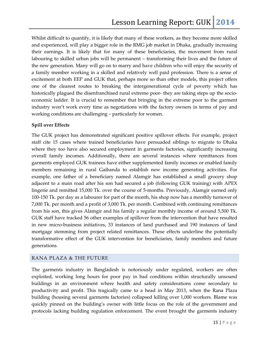Whilst difficult to quantify, it is likely that many of these workers, as they become more skilled and experienced, will play a bigger role in the RMG job market in Dhaka, gradually increasing their earnings. It is likely that for many of these beneficiaries, the movement from rural labouring to skilled urban jobs will be permanent – transforming their lives and the future of the new generation. Many will go on to marry and have children who will enjoy the security of a family member working in a skilled and relatively well paid profession. There is a sense of excitement at both EEP and GUK that, perhaps more so than other models, this project offers one of the clearest routes to breaking the intergenerational cycle of poverty which has historically plagued the disenfranchised rural extreme poor- they are taking steps up the socioeconomic ladder. It is crucial to remember that bringing in the extreme poor to the garment industry won't work every time as negotiations with the factory owners in terms of pay and working conditions are challenging – particularly for women.

#### **Spill over Effects**

The GUK project has demonstrated significant positive spillover effects. For example, project staff cite 15 cases where trained beneficiaries have persuaded siblings to migrate to Dhaka where they too have also secured employment in garments factories, significantly increasing overall family incomes. Additionally, there are several instances where remittances from garments employed GUK trainees have either supplemented family incomes or enabled family members remaining in rural Gaibanda to establish new income generating activities. For example, one father of a beneficiary named Alamgir has established a small grocery shop adjacent to a main road after his son had secured a job (following GUK training) with APEX lingerie and remitted 15,000 Tk. over the course of 5-months. Previously, Alamgir earned only 100-150 Tk. per day as a labourer for part of the month, his shop now has a monthly turnover of 7,000 Tk. per month and a profit of 3,000 Tk. per month. Combined with continuing remittances from his son, this gives Alamgir and his family a regular monthly income of around 5,500 Tk. GUK staff have tracked 56 other examples of spillover from the intervention that have resulted in new micro-business initiatives, 33 instances of land purchased and 190 instances of land mortgage stemming from project related remittances. These effects underline the potentially transformative effect of the GUK intervention for beneficiaries, family members and future generations.

#### RANA PLAZA & THE FUTURE

The garments industry in Bangladesh is notoriously under regulated, workers are often exploited, working long hours for poor pay in bad conditions within structurally unsound buildings in an environment where health and safety considerations come secondary to productivity and profit. This tragically came to a head in May 2013, when the Rana Plaza building (housing several garments factories) collapsed killing over 1,000 workers. Blame was quickly pinned on the building's owner with little focus on the role of the government and protocols lacking building regulation enforcement. The event brought the garments industry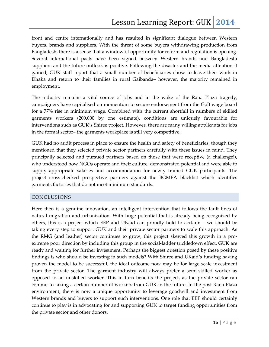front and centre internationally and has resulted in significant dialogue between Western buyers, brands and suppliers. With the threat of some buyers withdrawing production from Bangladesh, there is a sense that a window of opportunity for reform and regulation is opening. Several international pacts have been signed between Western brands and Bangladeshi suppliers and the future outlook is positive. Following the disaster and the media attention it gained, GUK staff report that a small number of beneficiaries chose to leave their work in Dhaka and return to their families in rural Gaibanda– however, the majority remained in employment.

The industry remains a vital source of jobs and in the wake of the Rana Plaza tragedy, campaigners have capitalised on momentum to secure endorsement from the GoB wage board for a 77% rise in minimum wage. Combined with the current shortfall in numbers of skilled garments workers (200,000 by one estimate), conditions are uniquely favourable for interventions such as GUK's Shiree project. However, there are many willing applicants for jobs in the formal sector– the garments workplace is still very competitive.

GUK had no audit process in place to ensure the health and safety of beneficiaries, though they mentioned that they selected private sector partners carefully with these issues in mind. They principally selected and pursued partners based on those that were receptive (a challenge!), who understood how NGOs operate and their culture, demonstrated potential and were able to supply appropriate salaries and accommodation for newly trained GUK participants. The project cross-checked prospective partners against the BGMEA blacklist which identifies garments factories that do not meet minimum standards.

#### CONCLUSIONS

Here then is a genuine innovation, an intelligent intervention that follows the fault lines of natural migration and urbanization. With huge potential that is already being recognized by others, this is a project which EEP and UKaid can proudly hold to acclaim – we should be taking every step to support GUK and their private sector partners to scale this approach. As the RMG (and leather) sector continues to grow, this project skewed this growth in a proextreme poor direction by including this group in the social-ladder trickledown effect. GUK are ready and waiting for further investment. Perhaps the biggest question posed by these positive findings is who should be investing in such models? With Shiree and UKaid's funding having proven the model to be successful, the ideal outcome now may be for large scale investment from the private sector. The garment industry will always prefer a semi-skilled worker as opposed to an unskilled worker. This in turn benefits the project, as the private sector can commit to taking a certain number of workers from GUK in the future. In the post Rana Plaza environment, there is now a unique opportunity to leverage goodwill and investment from Western brands and buyers to support such interventions. One role that EEP should certainly continue to play is in advocating for and supporting GUK to target funding opportunities from the private sector and other donors.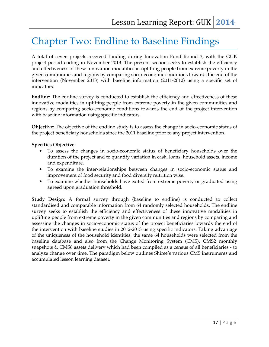# Chapter Two: Endline to Baseline Findings

A total of seven projects received funding during Innovation Fund Round 3, with the GUK project period ending in November 2013. The present section seeks to establish the efficiency and effectiveness of these innovation modalities in uplifting people from extreme poverty in the given communities and regions by comparing socio-economic conditions towards the end of the intervention (November 2013) with baseline information (2011-2012) using a specific set of indicators.

**Endline:** The endline survey is conducted to establish the efficiency and effectiveness of these innovative modalities in uplifting people from extreme poverty in the given communities and regions by comparing socio-economic conditions towards the end of the project intervention with baseline information using specific indicators.

**Objective:** The objective of the endline study is to assess the change in socio-economic status of the project beneficiary households since the 2011 baseline prior to any project intervention.

#### **Specifies Objective**:

- To assess the changes in socio-economic status of beneficiary households over the duration of the project and to quantify variation in cash, loans, household assets, income and expenditure.
- To examine the inter-relationships between changes in socio-economic status and improvement of food security and food diversify nutrition wise.
- To examine whether households have exited from extreme poverty or graduated using agreed upon graduation threshold.

**Study Design**: A formal survey through (baseline to endline) is conducted to collect standardised and comparable information from 64 randomly selected households. The endline survey seeks to establish the efficiency and effectiveness of these innovative modalities in uplifting people from extreme poverty in the given communities and regions by comparing and assessing the changes in socio-economic status of the project beneficiaries towards the end of the intervention with baseline studies in 2012-2013 using specific indicators. Taking advantage of the uniqueness of the household identities, the same 64 households were selected from the baseline database and also from the Change Monitoring System (CMS), CMS2 monthly snapshots & CMS6 assets delivery which had been compiled as a census of all beneficiaries - to analyze change over time. The paradigm below outlines Shiree's various CMS instruments and accumulated lesson learning dataset.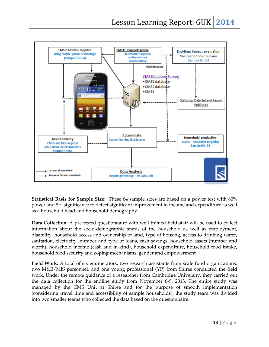

**Statistical Basis for Sample Size**: These 64 sample sizes are based on a power test with 80% power and 5% significance to detect significant improvement in income and expenditure as well as a household head and household demography.

**Data Collection**: A pre-tested questionnaire with well trained field staff will be used to collect information about the socio-demographic status of the household as well as employment, disability, household access and ownership of land, type of housing, access to drinking water, sanitation, electricity, number and type of loans, cash savings, household assets (number and worth), household income (cash and in-kind), household expenditure, household food intake, household food security and coping mechanisms, gender and empowerment.

**Field Work**: A total of six enumerators, two research assistants from scale fund organizations, two M&E/MIS personnel, and one young professional (YP) from Shiree conducted the field work. Under the remote guidance of a researcher from Cambridge University, they carried out the data collection for the endline study from November 8-9, 2013. The entire study was managed by the CMS Unit at Shiree and for the purpose of smooth implementation (considering travel time and accessibility of sample households), the study team was divided into two smaller teams who collected the data based on the questionnaire.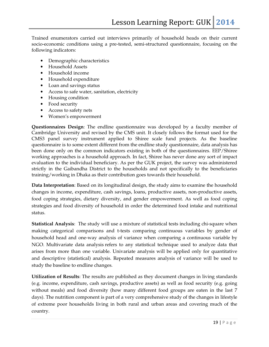Trained enumerators carried out interviews primarily of household heads on their current socio-economic conditions using a pre-tested, semi-structured questionnaire, focusing on the following indicators:

- Demographic characteristics
- Household Assets
- Household income
- Household expenditure
- Loan and savings status
- Access to safe water, sanitation, electricity
- Housing condition
- Food security
- Access to safety nets
- Women's empowerment

**Questionnaires Design**: The endline questionnaire was developed by a faculty member of Cambridge University and revised by the CMS unit. It closely follows the format used for the CMS3 panel survey instrument applied to Shiree scale fund projects. As the baseline questionnaire is to some extent different from the endline study questionnaire, data analysis has been done only on the common indicators existing in both of the questionnaires. EEP/Shiree working approaches is a household approach. In fact, Shiree has never done any sort of impact evaluation to the individual beneficiary. As per the GUK project, the survey was administered strictly in the Gaibandha District to the households and not specifically to the beneficiaries training/working in Dhaka as their contribution goes towards their household.

**Data Interpretation**: Based on its longitudinal design, the study aims to examine the household changes in income, expenditure, cash savings, loans, productive assets, non-productive assets, food coping strategies, dietary diversity, and gender empowerment. As well as food coping strategies and food diversity of household in order the determined food intake and nutritional status.

**Statistical Analysis**: The study will use a mixture of statistical tests including chi-square when making categorical comparisons and t-tests comparing continuous variables by gender of household head and one-way analysis of variance when comparing a continuous variable by NGO. Multivariate data analysis refers to any statistical technique used to analyze data that arises from more than one variable. Univariate analysis will be applied only for quantitative and descriptive (statistical) analysis. Repeated measures analysis of variance will be used to study the baseline to endline changes.

**Utilization of Results**: The results are published as they document changes in living standards (e.g. income, expenditure, cash savings, productive assets) as well as food security (e.g. going without meals) and food diversity (how many different food groups are eaten in the last 7 days). The nutrition component is part of a very comprehensive study of the changes in lifestyle of extreme poor households living in both rural and urban areas and covering much of the country.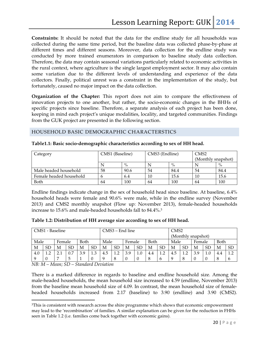**Constraints:** It should be noted that the data for the endline study for all households was collected during the same time period, but the baseline data was collected phase-by-phase at different times and different seasons. Moreover, data collection for the endline study was conducted by more trained enumerators in comparison to baseline study data collection. Therefore, the data may contain seasonal variations particularly related to economic activities in the rural context, where agriculture is the single largest employment sector. It may also contain some variation due to the different levels of understanding and experience of the data collectors. Finally, political unrest was a constraint in the implementation of the study, but fortunately, caused no major impact on the data collection.

**Organization of the Chapter:** This report does not aim to compare the effectiveness of innovation projects to one another, but rather, the socio-economic changes in the BHHs of specific projects since baseline. Therefore, a separate analysis of each project has been done, keeping in mind each project's unique modalities, locality, and targeted communities. Findings from the GUK project are presented in the following section.

#### HOUSEHOLD BASIC DEMOGRAPHIC CHARACTERSTICS

| Category                | CMS1 (Baseline) |      | CMS3 (Endline) |      | CM <sub>S2</sub>   |      |  |
|-------------------------|-----------------|------|----------------|------|--------------------|------|--|
|                         |                 |      |                |      | (Monthly snapshot) |      |  |
|                         |                 | $\%$ |                | $\%$ |                    | $\%$ |  |
| Male headed household   | 58              | 90.6 | 54             | 84.4 | 54                 | 84.4 |  |
| Female headed household |                 | 6.4  | 10             | 15.6 | 10                 | 15.6 |  |
| Both                    | 64              | 100  | 64             | 100  | 64                 | 100  |  |

#### **Table1.1: Basic socio-demographic characteristics according to sex of HH head.**

Endline findings indicate change in the sex of household head since baseline. At baseline, 6.4% household heads were female and 90.6% were male, while in the endline survey (November 2013) and CMS2 monthly snapshot (Flow up: November 2013), female-headed households increase to 15.6% and male-headed households fall to 84.4%.<sup>3</sup>

|  | Table 1.2: Distribution of HH average size according to sex of HH head. |  |  |  |  |
|--|-------------------------------------------------------------------------|--|--|--|--|
|  |                                                                         |  |  |  |  |

|     | CMS1 - Baseline |     |           |     |      | $CMS3 - End$ line                                 |           |   |                        | CMS <sub>2</sub> |           |                    |           |        |             |      |           |
|-----|-----------------|-----|-----------|-----|------|---------------------------------------------------|-----------|---|------------------------|------------------|-----------|--------------------|-----------|--------|-------------|------|-----------|
|     |                 |     |           |     |      |                                                   |           |   |                        |                  |           | (Monthly snapshot) |           |        |             |      |           |
|     | Female          |     | Male      |     | Both |                                                   |           |   | Male<br>Both<br>Female |                  |           | Male               |           | Female |             | Both |           |
| М   | <b>SD</b>       | M   | <b>SD</b> | M   | SD   | М                                                 | <b>SD</b> | M | <b>SD</b>              | М                | <b>SD</b> | М                  | <b>SD</b> | М      | <b>SD</b>   | М    | <b>SD</b> |
| 4.0 | $\mathcal{D}$   | 2.1 | 0.7       | 3.9 | 1.3  | 1.2<br>4.5<br>1 <sub>2</sub><br>3.9<br>1.0<br>4.4 |           |   | 4.5                    | 1.2              | 3.9       | 1.0                | 4.4       | 1.2    |             |      |           |
| Q   |                 |     | ц         |     |      | q<br>8<br>8<br>$\theta$<br>$\theta$<br>b          |           |   |                        |                  |           |                    |           |        | $\mathbf b$ |      |           |

*NB: M – Mean; SD – Standard Deviation* 

 $\overline{a}$ 

There is a marked difference in regards to baseline and endline household size. Among the male-headed households, the mean household size increased to 4.59 (endline, November 2013) from the baseline mean household size of 4.09. In contrast, the mean household size of femaleheaded households increased from 2.17 (baseline) to 3.90 (endline) and 3.90 (CMS2).

<sup>3</sup>This is consistent with research across the shire programme which shows that economic empowerment may lead to the 'recombination' of families. A similar explanation can be given for the reduction in FHHs seen in Table 1.2 (i.e. families come back together with economic gains).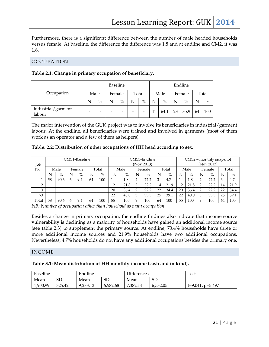Furthermore, there is a significant difference between the number of male headed households versus female. At baseline, the difference the difference was 1.8 and at endline and CM2, it was 1.6.

#### OCCUPATION

|  |  | Table 2.1: Change in primary occupation of beneficiary. |  |
|--|--|---------------------------------------------------------|--|
|  |  |                                                         |  |

|                              |   |                          |        | Baseline                 |       | Endline       |    |      |        |               |       |               |
|------------------------------|---|--------------------------|--------|--------------------------|-------|---------------|----|------|--------|---------------|-------|---------------|
| Occupation                   |   | Male                     | Female |                          | Total |               |    | Male | Female |               | Total |               |
|                              | N | $\%$                     | N      | $\frac{0}{0}$            | N     | $\frac{0}{0}$ | N  | $\%$ | N      | $\frac{0}{0}$ | N     | $\frac{0}{0}$ |
| Industrial/garment<br>labour | - | $\overline{\phantom{0}}$ | -      | $\overline{\phantom{0}}$ |       | -             | 41 | 64.1 | 23     | 35.9          | 64    | 100           |

The major intervention of the GUK project was to involve its beneficiaries in industrial/garment labour. At the endline, all beneficiaries were trained and involved in garments (most of them work as an operator and a few of them as helpers).

|  |  | Table: 2.2: Distribution of other occupations of HH head according to sex. |
|--|--|----------------------------------------------------------------------------|
|  |  |                                                                            |

| Job          |      |      |              | CMS1-Baseline |    |       |                         | CMS3-Endline<br>(Nov'2013) |             |      |    | $CMS2$ – monthly snapshot<br>(Nov'2013) |    |        |             |       |    |      |
|--------------|------|------|--------------|---------------|----|-------|-------------------------|----------------------------|-------------|------|----|-----------------------------------------|----|--------|-------------|-------|----|------|
| No.          | Male |      | Female       |               |    | Total | Total<br>Male<br>Female |                            |             |      |    | Male                                    |    | Female |             | Total |    |      |
|              | N    | $\%$ | N            | $\%$          | N  | $\%$  | N                       | $\%$                       | N           | $\%$ | N  | $\%$                                    | N  | $\%$   | N           | $\%$  | N  | $\%$ |
|              | 58   | 90.6 | 6            | 9.4           | 64 | 100   |                         | 1.8                        | ◠           | 22.2 | 3  | 4.7                                     |    | 1.8    | ◠           | 22.2  | 3  | 4.7  |
| <sup>-</sup> |      |      |              |               |    |       | 12                      | 21.8                       | っ           | 22.2 | 14 | 21.9                                    | 12 | 21.8   |             | 22.2  | 14 | 21.9 |
| 3            |      |      |              |               |    |       | 20                      | 36.4                       | っ           | 22.2 | 22 | 34.4                                    | 20 | 36.4   | റ           | 22.2  | 22 | 34.4 |
| >3           |      |      |              |               |    |       | 22                      | 40.0                       | 3           | 33.3 | 25 | 39.1                                    | 22 | 40.0   | 3           | 33.3  | 25 | 39.1 |
| Total        | 58   | 90.6 | <sub>b</sub> | 9.4           | 64 | 100   | 55                      | 100                        | $\mathbf Q$ | 100  | 64 | 100                                     | 55 | 100    | $\mathbf Q$ | 100   | 64 | 100  |

*NB: Number of occupation other than household as main occupation.* 

Besides a change in primary occupation, the endline findings also indicate that income source vulnerability is declining as a majority of households have gained an additional income source (see table 2.3) to supplement the primary source. At endline, 73.4% households have three or more additional income sources and 21.9% households have two additional occupations. Nevertheless, 4.7% households do not have any additional occupations besides the primary one.

#### INCOME

#### **Table 3.1: Mean distribution of HH monthly income (cash and in kind).**

| <b>Baseline</b> |        | Endline  |           | <b>Differences</b> |           | <b>Test</b>         |
|-----------------|--------|----------|-----------|--------------------|-----------|---------------------|
| Mean            | SD     | Mean     | <b>SD</b> | Mean               | <b>SD</b> |                     |
| 1.900.99        | 325.42 | 9,283.13 | 6,582.68  | 7,382.14           | 6,532.05  | $t=9.041$ , p=5.497 |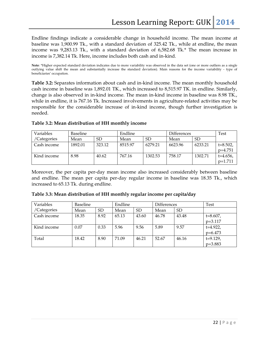Endline findings indicate a considerable change in household income. The mean income at baseline was 1,900.99 Tk., with a standard deviation of 325.42 Tk., while at endline, the mean income was 9,283.13 Tk., with a standard deviation of 6,582.68 Tk.\* The mean increase in income is 7,382.14 Tk. Here, income includes both cash and in-kind.

**Note**: \*Higher expected standard deviation indicates due to more variability was observed in the data set (one or more outliers as a single outlying value shift the mean and substantially increase the standard deviation). Main reasons for the income variability - type of beneficiaries' occupation.

**Table 3.2:** Separates information about cash and in-kind income. The mean monthly household cash income in baseline was 1,892.01 TK., which increased to 8,515.97 TK. in endline. Similarly, change is also observed in in-kind income. The mean in-kind income in baseline was 8.98 TK., while in endline, it is 767.16 Tk. Increased involvements in agriculture-related activities may be responsible for the considerable increase of in-kind income, though further investigation is needed.

| Variables   | Baseline |        | Endline |           | <b>Differences</b> | Test      |               |
|-------------|----------|--------|---------|-----------|--------------------|-----------|---------------|
| /Categories | Mean     | SD     | Mean    | <b>SD</b> | Mean               | <b>SD</b> |               |
| Cash income | 1892.01  | 323.12 | 8515.97 | 6279.21   | 6623.96            | 6233.21   | $t = 8.502$ , |
|             |          |        |         |           |                    |           | $p=4.751$     |
| Kind income | 8.98     | 40.62  | 767.16  | 1302.53   | 758.17             | 1302.71   | $t=4.656$ ,   |
|             |          |        |         |           |                    |           | $p=1.711$     |

#### **Table 3.2: Mean distribution of HH monthly income**

Moreover, the per capita per-day mean income also increased considerably between baseline and endline. The mean per capita per-day regular income in baseline was 18.35 Tk., which increased to 65.13 Tk. during endline.

| Variables   | <b>Baseline</b> |           | Endline |           | Differences |           | Test                       |
|-------------|-----------------|-----------|---------|-----------|-------------|-----------|----------------------------|
| /Categories | Mean            | <b>SD</b> | Mean    | <b>SD</b> | Mean        | <b>SD</b> |                            |
| Cash income | 18.35           | 8.92      | 65.13   | 43.60     | 46.78       | 43.48     | $t = 8.607$ ,<br>$p=3.117$ |
| Kind income | 0.07            | 0.33      | 5.96    | 9.56      | 5.89        | 9.57      | $t=4.922$ ,<br>$p=6.473$   |
| Total       | 18.42           | 8.90      | 71.09   | 46.21     | 52.67       | 46.16     | $t=9.129$ ,<br>$p=3.883$   |

**Table 3.3: Mean distribution of HH monthly regular income per capita/day**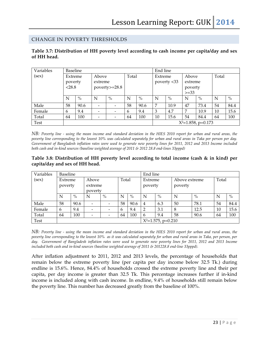#### CHANGE IN POVERTY THRESHOLDS

#### **Table 3.7: Distribution of HH poverty level according to cash income per capita/day and sex of HH head.**

| Variables | <b>Baseline</b>         |      |                          |      | End line |             |                   |                       |       |      |       |               |
|-----------|-------------------------|------|--------------------------|------|----------|-------------|-------------------|-----------------------|-------|------|-------|---------------|
| (sex)     | Above<br>Extreme        |      |                          |      | Total    |             | Extreme           |                       | Above |      | Total |               |
|           | poverty                 |      | extreme                  |      |          | poverty <33 |                   | extreme               |       |      |       |               |
|           | < 28.8<br>poverty>=28.8 |      |                          |      |          |             | poverty<br>$>=33$ |                       |       |      |       |               |
|           | N                       | $\%$ | N                        | $\%$ | N        | $\%$        | N                 | $\%$                  | N     | $\%$ | N     | $\frac{0}{0}$ |
| Male      | 58                      | 90.6 | $\overline{\phantom{0}}$ |      | 58       | 90.6        | 7                 | 10.9                  | 47    | 73.4 | 54    | 84.4          |
| Female    | 6                       | 9.4  |                          |      | 6        | 9.4         | 3                 | 4.7                   | 7     | 10.9 | 10    | 15.6          |
| Total     | 64                      | 100  |                          | -    | 64       | 100         | 10                | 15.6                  | 54    | 84.4 | 64    | 100           |
| Test      |                         |      |                          |      |          |             |                   | $X^2=1.858$ , p=0.173 |       |      |       |               |

*NB: Poverty line - using the mean income and standard deviation in the HIES 2010 report for urban and rural areas, the poverty line corresponding to the lowest 10% was calculated separately for urban and rural areas in Taka per person per day. Government of Bangladesh inflation rates were used to generate new poverty lines for 2011, 2012 and 2013 Income included both cash and in-kind sources (baseline weighted average of 2011 & 2012 28.8 end-lines 33pppd)* 

#### **Table 3.8: Distribution of HH poverty level according to total income (cash & in kind) per capita/day and sex of HH head.**

| Variables | Baseline           |       |   |           |    |                  | End line       |                       |         |       |    |               |
|-----------|--------------------|-------|---|-----------|----|------------------|----------------|-----------------------|---------|-------|----|---------------|
| (sex)     | Extreme            | Above |   |           |    | Total<br>Extreme |                | Above extreme         |         | Total |    |               |
|           | poverty<br>extreme |       |   |           |    |                  | poverty        |                       | poverty |       |    |               |
|           | poverty            |       |   |           |    |                  |                |                       |         |       |    |               |
|           | N                  | $\%$  | N | $\%$<br>N |    | $\%$             | N              | $\%$                  | N       | $\%$  | N  | $\frac{0}{0}$ |
| Male      | 58                 | 90.6  |   |           | 58 | 90.6             | $\overline{4}$ | 6.3                   | 50      | 78.1  | 54 | 84.4          |
| Female    | 6                  | 9.4   |   |           | 6  | 9.4              | $\overline{2}$ | 3.1                   | 8       | 12.5  | 10 | 15.6          |
| Total     | 64                 | 100   |   |           | 64 | 100              | 6              | 9.4                   | 58      | 90.6  | 64 | 100           |
| Test      |                    |       |   |           |    |                  |                | $X^2=1.575$ , p=0.210 |         |       |    |               |

*NB: Poverty line - using the mean income and standard deviation in the HIES 2010 report for urban and rural areas, the poverty line corresponding to the lowest 10% as it was calculated separately for urban and rural areas in Taka, per person, per*  day. Government of Bangladesh inflation rates were used to generate new poverty lines for 2011, 2012 and 2013 Income *included both cash and in-kind sources (baseline weighted average of 2011 & 201228.8 end-line 33pppd).* 

After inflation adjustment to 2011, 2012 and 2013 levels, the percentage of households that remain below the extreme poverty line (per capita per day income below 32.5 Tk.) during endline is 15.6%. Hence, 84.4% of households crossed the extreme poverty line and their per capita, per day income is greater than 32.5 Tk. This percentage increases further if in-kind income is included along with cash income. In endline, 9.4% of households still remain below the poverty line. This number has decreased greatly from the baseline of 100%.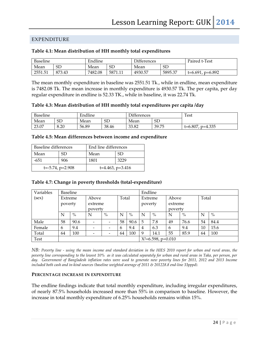#### EXPENDITURE

#### **Table 4.1: Mean distribution of HH monthly total expenditures**

| Baseline |           | Endline |         | <b>Differences</b> |           | Paired t-Test      |
|----------|-----------|---------|---------|--------------------|-----------|--------------------|
| Mean     | <b>SD</b> | Mean    | SL      | Mean               | <b>SD</b> |                    |
| 2551.51  | 873.43    | 7482.08 | 5871.11 | 4930.57            | 5895.37   | $t=6.691, p=6.892$ |

The mean monthly expenditure in baseline was 2551.51 Tk., while in endline, mean expenditure is 7482.08 Tk. The mean increase in monthly expenditure is 4930.57 Tk. The per capita, per day regular expenditure in endline is 52.33 TK., while in baseline, it was 22.74 Tk.

#### **Table 4.3: Mean distribution of HH monthly total expenditures per capita /day**

| <b>Baseline</b> |      | Endline |          | <b>Differences</b> |          | <b>Test</b>              |
|-----------------|------|---------|----------|--------------------|----------|--------------------------|
| Mean            | SГ   | Mean    | CГ<br>ىن | Mean               | cг<br>שכ |                          |
| 23.07           | 8.20 | 56.89   | 38.46    | 33.82              | 39.75    | $p=4.335$<br>$t = 6.807$ |

#### **Table 4.5: Mean differences between income and expenditure**

| Baseline differences |                           | End line differences |                       |
|----------------------|---------------------------|----------------------|-----------------------|
| Mean                 | SD.                       | Mean                 | SD.                   |
| -651                 | 906                       | 1801                 | 3229                  |
|                      | $t = -5.74$ , $p = 2.908$ |                      | $t=4.463$ , $p=3.416$ |

#### **Table 4.7: Change in poverty thresholds (total-expenditure)**

| Variables | <b>Baseline</b>  |      |                          |           |         |         | Endline               |         |    |       |    |      |
|-----------|------------------|------|--------------------------|-----------|---------|---------|-----------------------|---------|----|-------|----|------|
| (sex)     | Above<br>Extreme |      |                          | Total     |         | Extreme |                       | Above   |    | Total |    |      |
|           | poverty          |      | extreme                  |           | poverty |         |                       | extreme |    |       |    |      |
|           | poverty          |      |                          |           |         |         |                       | poverty |    |       |    |      |
|           | N                | $\%$ | N                        | $\%$<br>N |         | $\%$    | N                     | $\%$    | N  | $\%$  | N  | $\%$ |
| Male      | 58               | 90.6 | $\overline{\phantom{a}}$ | -         | 58      | 90.6    | 5                     | 7.8     | 49 | 76.6  | 54 | 84.4 |
| Female    | 6                | 9.4  | $\overline{\phantom{a}}$ | -         | 6       | 9.4     | $\overline{4}$        | 6.3     | 6  | 9.4   | 10 | 15.6 |
| Total     | 64               | 100  | -                        |           | 64      | 100     | 9                     | 14.1    | 55 | 85.9  | 64 | 100  |
| Test      |                  |      |                          |           |         |         | $X^2=6.598$ , p=0.010 |         |    |       |    |      |

*NB: Poverty line - using the mean income and standard deviation in the HIES 2010 report for urban and rural areas, the poverty line corresponding to the lowest 10% as it was calculated separately for urban and rural areas in Taka, per person, per*  day. Government of Bangladesh inflation rates were used to generate new poverty lines for 2011, 2012 and 2013 Income *included both cash and in-kind sources (baseline weighted average of 2011 & 201228.8 end-line 33pppd).* 

#### **PERCENTAGE INCREASE IN EXPENDITURE**

The endline findings indicate that total monthly expenditure, including irregular expenditures, of nearly 87.5% households increased more than 55% in comparison to baseline. However, the increase in total monthly expenditure of 6.25% households remains within 15%.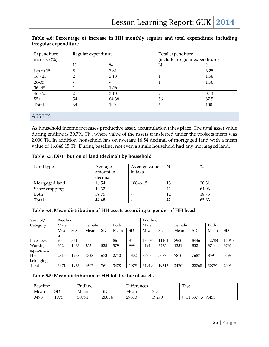| Expenditure      | Regular expenditure |       | Total expenditure               |      |  |  |  |
|------------------|---------------------|-------|---------------------------------|------|--|--|--|
| increase $(\% )$ |                     |       | (include irregular expenditure) |      |  |  |  |
|                  | N                   | $\%$  |                                 | $\%$ |  |  |  |
| Up to $15$       | 5                   | 7.81  | 4                               | 6.25 |  |  |  |
| $16 - 25$        |                     | 3.13  |                                 | 1.56 |  |  |  |
| $26 - 35$        |                     |       |                                 | 1.56 |  |  |  |
| $36 - 45$        |                     | 1.56  |                                 |      |  |  |  |
| $46 - 55$        |                     | 3.13  |                                 | 3.13 |  |  |  |
| $55+$            | 54                  | 84.38 | 56                              | 87.5 |  |  |  |
| Total            | 64                  | 100   | 64                              | 100  |  |  |  |

#### **Table 4.8: Percentage of increase in HH monthly regular and total expenditure including irregular expenditure**

#### ASSETS

As household income increases productive asset, accumulation takes place. The total asset value during endline is 30,791 Tk., where value of the assets transferred under the projects mean was 2,000 Tk. In addition, household has on average 16.54 decimal of mortgaged land with a mean value of 16,846.15 Tk. During baseline, not even a single household had any mortgaged land.

| Table 5.3: Distribution of land (decimal) by household |  |  |  |
|--------------------------------------------------------|--|--|--|
|--------------------------------------------------------|--|--|--|

| Land types     | Average   | Average value  | N  | $\%$  |
|----------------|-----------|----------------|----|-------|
|                | amount in | in taka        |    |       |
|                | decimal   |                |    |       |
| Mortgaged land | 16.54     | 16846.15       | 13 | 20.31 |
| Share cropping | 40.32     |                | 41 | 64.06 |
| Both           | 59.75     |                | 12 | 18.75 |
| Total          | 44.48     | $\overline{a}$ | 42 | 65.63 |

#### **Table 5.4: Mean distribution of HH assets according to gender of HH head**

| Variabl/   | Baseline |           |        |           |      |           | End line |           |       |           |       |           |
|------------|----------|-----------|--------|-----------|------|-----------|----------|-----------|-------|-----------|-------|-----------|
| Category   | Male     |           | Female |           | Both |           |          | Male      |       |           | Both  |           |
|            | Mea      | <b>SD</b> | Mean   | <b>SD</b> | Mean | <b>SD</b> | Mean     | <b>SD</b> | Mean  | <b>SD</b> | Mean  | <b>SD</b> |
|            | n        |           |        |           |      |           |          |           |       |           |       |           |
| Livestock  | 95       | 361       |        |           | 86   | 344       | 13507    | 11404     | 8900  | 8446      | 12788 | 11065     |
| Working    | 612      | 1033      | 253    | 525       | 579  | 999       | 4191     | 7275      | 1331  | 832       | 3744  | 6761      |
| equipment  |          |           |        |           |      |           |          |           |       |           |       |           |
| HН         | 2815     | 1278      | 1328   | 673       | 2710 | 1302      | 8735     | 5077      | 7810  | 7687      | 8591  | 5499      |
| belongings |          |           |        |           |      |           |          |           |       |           |       |           |
| Total      | 3671     | 1963      | 1607   | 761       | 3478 | 1975      | 31919    | 19513     | 24701 | 22768     | 30791 | 20034     |

#### **Table 5.5: Mean distribution of HH total value of assets**

| <b>Baseline</b> |                  | Endline |       | Differences      |       | <b>Test</b>               |
|-----------------|------------------|---------|-------|------------------|-------|---------------------------|
| Mean            | SD<br>SD<br>Mean |         | Mean  | <b>SD</b>        |       |                           |
| 3478            | 1975             | 30791   | 20034 | 27313<br>27 J LJ | 19273 | $t = 11.337$<br>$p=7.453$ |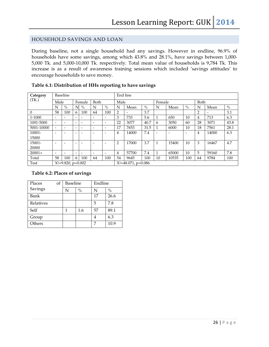#### HOUSEHOLD SAVINGS AND LOAN

During baseline, not a single household had any savings. However in endline, 96.9% of households have some savings, among which 43.8% and 28.1%, have savings between 1,000- 5,000 Tk. and 5,000-10,000 Tk. respectively. Total mean value of households is 9,784 Tk. This increase is as a result of awareness training sessions which included 'savings attitudes' to encourage households to save money.

| Category   |                              | <b>Baseline</b> |   |        |                        |                              |                | End line |      |        |       |      |                |       |               |  |
|------------|------------------------------|-----------------|---|--------|------------------------|------------------------------|----------------|----------|------|--------|-------|------|----------------|-------|---------------|--|
| (TK.)      | Male                         |                 |   | Female | Both                   |                              | Male           |          |      | Female |       |      | Both           |       |               |  |
|            | N                            | $\%$            | N | $\%$   | N                      | $\%$                         | N              | Mean     | $\%$ | N      | Mean  | $\%$ | N              | Mean  | $\frac{0}{0}$ |  |
| $\theta$   | 58                           | 100             | 6 | 100    | 64                     | 100                          | 2              |          | 3.7  |        |       |      | $\overline{2}$ |       | 3.1           |  |
| 1-1000     | $\overline{\phantom{a}}$     |                 |   | -      | -                      | $\overline{\phantom{a}}$     | 3              | 733      | 5.6  |        | 650   | 10   | $\overline{4}$ | 713   | 6.3           |  |
| 1001-5000  | $\qquad \qquad \blacksquare$ |                 | - | -      | -                      | $\qquad \qquad \blacksquare$ | 22             | 3077     | 40.7 | 6      | 3050  | 60   | 28             | 3071  | 43.8          |  |
| 5001-10000 | $\overline{\phantom{0}}$     |                 |   |        | -                      | $\overline{\phantom{0}}$     | 17             | 7653     | 31.5 |        | 6000  | 10   | 18             | 7561  | 28.1          |  |
| 10001-     |                              |                 |   |        |                        | $\overline{\phantom{0}}$     | 4              | 14000    | 7.4  |        |       |      | 4              | 14000 | 6.3           |  |
| 15000      |                              |                 |   |        |                        |                              |                |          |      |        |       |      |                |       |               |  |
| 15001-     |                              |                 |   |        |                        | -                            | $\overline{2}$ | 17000    | 3.7  | 1      | 15400 | 10   | 3              | 16467 | 4.7           |  |
| 20000      |                              |                 |   |        |                        |                              |                |          |      |        |       |      |                |       |               |  |
| $20001+$   | $\overline{\phantom{0}}$     |                 |   |        | -                      | $\qquad \qquad \blacksquare$ | 4              | 57700    | 7.4  | 1      | 65000 | 10   | 5              | 59160 | 7.8           |  |
| Total      | 58                           | 100             | 6 | 100    | 64                     | 100                          | 54             | 9645     | 100  | 10     | 10535 | 100  | 64             | 9784  | 100           |  |
| Test       | $X^2=9.820$ , p=0.002        |                 |   |        | $X^2=48.071$ , p=0.086 |                              |                |          |      |        |       |      |                |       |               |  |

#### **Table 6.1: Distribution of HHs reporting to have savings**

#### **Table 6.2: Places of savings**

| Places<br>οf | <b>Baseline</b> |               | Endline |               |
|--------------|-----------------|---------------|---------|---------------|
| Savings      | N               | $\frac{0}{0}$ | N       | $\frac{0}{0}$ |
| Bank         |                 |               | 17      | 26.6          |
| Relatives    |                 |               | 5       | 7.8           |
| Self         |                 | 1.6           | 57      | 89.1          |
| Group        |                 |               |         | 6.3           |
| Others       |                 |               | 7       | 10.9          |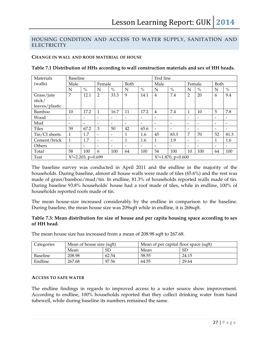#### HOUSING CONDITION AND ACCESS TO WATER SUPPLY, SANITATION AND **ELECTRICITY**

#### **CHANGE IN WALL AND ROOF MATERIAL OF HOUSE**

| Materials      | <b>Baseline</b>          |                          |                          |                          |                          |                          | End line                 |                          |                          |                          |             |                          |
|----------------|--------------------------|--------------------------|--------------------------|--------------------------|--------------------------|--------------------------|--------------------------|--------------------------|--------------------------|--------------------------|-------------|--------------------------|
| (walls)        | Male                     |                          | Female                   |                          | Both                     |                          | Male                     |                          | Female                   |                          | <b>Both</b> |                          |
|                | N                        | $\frac{0}{0}$            | N                        | $\frac{0}{0}$            | N                        | $\%$                     | N                        | $\%$                     | N                        | $\%$                     | N           | $\frac{0}{0}$            |
| Grass/jute     | 7                        | 12.1                     | $\overline{2}$           | 33.3                     | 9                        | 14.1                     | $\overline{4}$           | 7.4                      | 2                        | 20                       | 6           | 9.4                      |
| stick/         |                          |                          |                          |                          |                          |                          |                          |                          |                          |                          |             |                          |
| leaves/plastic |                          |                          |                          |                          |                          |                          |                          |                          |                          |                          |             |                          |
| Bamboo         | 10                       | 17.2                     | 1                        | 16.7                     | 11                       | 17.2                     | $\overline{4}$           | 7.4                      | 1                        | 10                       | 5           | 7.8                      |
| Wood           |                          | ۰                        |                          |                          | -                        |                          | $\overline{\phantom{a}}$ | $\overline{\phantom{a}}$ | $\overline{\phantom{a}}$ | ۰                        | ۰           | ۰                        |
| Mud            | $\overline{\phantom{a}}$ | $\overline{\phantom{0}}$ |                          | ۰                        | $\overline{\phantom{a}}$ | $\overline{\phantom{a}}$ | $\overline{\phantom{a}}$ | $\overline{\phantom{a}}$ | $\overline{\phantom{0}}$ | $\overline{\phantom{a}}$ | ۰           | $\overline{\phantom{0}}$ |
| <b>Tiles</b>   | 39                       | 67.2                     | 3                        | 50                       | 42                       | 65.6                     |                          | $\overline{\phantom{a}}$ | $\overline{\phantom{0}}$ | ۰                        | ۰           | ۰                        |
| Tin/CI sheets  | $\mathbf{1}$             | 1.7                      | $\overline{\phantom{a}}$ | $\overline{\phantom{a}}$ | 1                        | 1.6                      | 45                       | 83.3                     | 7                        | 70                       | 52          | 81.3                     |
| Cement/brick   | 1                        | 1.7                      | $\overline{\phantom{0}}$ | $\overline{\phantom{a}}$ | 1                        | 1.6                      | 1                        | 1.9                      | $\overline{\phantom{0}}$ | ۰                        |             | 1.6                      |
| Others         |                          |                          |                          |                          |                          |                          | $\overline{\phantom{0}}$ | $\overline{\phantom{a}}$ | $\overline{\phantom{0}}$ | ۰                        | ۰           | ۰                        |
| Total          | 58                       | 100                      | 6                        | 100                      | 64                       | 100                      | 54                       | 100                      | 10                       | 100                      | 64          | 100                      |
| <b>Test</b>    | $X^2=2.203$ , p=0.699    |                          |                          |                          |                          |                          | $X^2=1.870$ , p=0.600    |                          |                          |                          |             |                          |

#### **Table 7.1 Distribution of HHs according to wall construction materials and sex of HH heads.**

The baseline survey was conducted in April 2011 and the endline in the majority of the households. During baseline, almost all house walls were made of tiles (65.6%) and the rest was made of grass/bamboo/mud/tin. In endline, 81.3% of households reported walls made of tin. During baseline 93.8% households' house had a roof made of tiles, while in endline, 100% of households reported roofs made of tin.

The mean house-size increased considerably by the endline in comparison to the baseline. During baseline, the mean house size was 209sqft while in endline, it is 268sqft.

#### **Table 7.3: Mean distribution for size of house and per capita housing space according to sex of HH head.**

The mean house size has increased from a mean of 208.98 sqft to 267.68.

| Categories      | Mean of house size (sqft) |       | Mean of per capital floor space (sqft) |       |  |  |  |
|-----------------|---------------------------|-------|----------------------------------------|-------|--|--|--|
|                 | Mean                      | SD    | Mean                                   | SD    |  |  |  |
| <b>Baseline</b> | 208.98                    | 62.54 | 58.55                                  | 24.15 |  |  |  |
| Endline         | 267.68                    | 97.56 | 64.55                                  | 29.64 |  |  |  |

#### **ACCESS TO SAFE WATER**

The endline findings in regards to improved access to a water source show improvement. According to endline, 100% households reported that they collect drinking water from hand tubewell, while during baseline its numbers remained the same.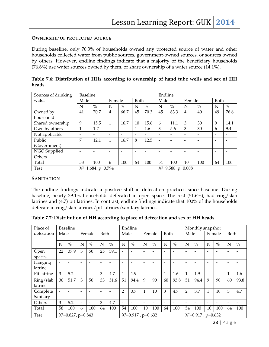#### **OWNERSHIP OF PROTECTED SOURCE**

During baseline, only 70.3% of households owned any protected source of water and other households collected water from public sources, government-owned sources, or sources owned by others. However, endline findings indicate that a majority of the beneficiary households (76.6%) use water sources owned by them, or share ownership of a water source (14.1%).

| Sources of drinking |                          | <b>Baseline</b><br>Endline                     |                          |                          |                          |                 |                          |                          |                          |                          |      |      |
|---------------------|--------------------------|------------------------------------------------|--------------------------|--------------------------|--------------------------|-----------------|--------------------------|--------------------------|--------------------------|--------------------------|------|------|
| water               | Male                     |                                                | Female                   |                          | Both                     |                 | Male                     |                          | Female                   |                          | Both |      |
|                     | N                        | $\%$                                           | N                        | $\frac{0}{0}$            | N                        | $\%$            | N                        | $\%$                     | N                        | $\%$                     | N    | $\%$ |
| Owned by            | 41                       | 70.7                                           | $\overline{4}$           | 66.7                     | 45                       | 70.3            | 45                       | 83.3                     | $\overline{4}$           | 40                       | 49   | 76.6 |
| household           |                          |                                                |                          |                          |                          |                 |                          |                          |                          |                          |      |      |
| Shared ownership    | 9                        | 15.5                                           | $\mathbf{1}$             | 16.7                     | 10                       | 15.6            | 6                        | 11.1                     | 3                        | 30                       | 9    | 14.1 |
| Own by others       |                          | 1.7                                            | $\overline{\phantom{a}}$ |                          |                          | 1.6             | 3                        | 5.6                      | 3                        | 30                       | 6    | 9.4  |
| Not applicable      |                          |                                                | $\overline{\phantom{a}}$ |                          | $\overline{\phantom{0}}$ |                 | $\overline{\phantom{a}}$ |                          |                          | $\overline{\phantom{0}}$ |      |      |
| Public              | 7                        | 12.1                                           | $\mathbf{1}$             | 16.7                     | 8                        | 12.5            | $\overline{\phantom{0}}$ | $\overline{\phantom{0}}$ | $\overline{\phantom{a}}$ | $\overline{\phantom{0}}$ | -    |      |
| (Government)        |                          |                                                |                          |                          |                          |                 |                          |                          |                          |                          |      |      |
| NGO Supplied        | $\overline{\phantom{a}}$ | $\overline{\phantom{a}}$                       | $\overline{\phantom{a}}$ | $\overline{\phantom{0}}$ | $\overline{\phantom{a}}$ | $\qquad \qquad$ | $\overline{\phantom{0}}$ | $\overline{\phantom{0}}$ | $\overline{\phantom{0}}$ | $\overline{\phantom{0}}$ | ۰    |      |
| Others              |                          |                                                | $\overline{\phantom{a}}$ |                          |                          |                 | $\qquad \qquad$          |                          |                          | ۰                        |      |      |
| Total               | 58                       | 100                                            | 6                        | 100                      | 64                       | 100             | 54                       | 100                      | 10                       | 100                      | 64   | 100  |
| <b>Test</b>         |                          | $X^2=9.588$ , p=0.008<br>$X^2=1.684$ , p=0.794 |                          |                          |                          |                 |                          |                          |                          |                          |      |      |

| Table 7.6: Distribution of HHs according to ownership of hand tube wells and sex of HH |  |  |  |  |  |
|----------------------------------------------------------------------------------------|--|--|--|--|--|
| heads.                                                                                 |  |  |  |  |  |

#### **SANITATION**

The endline findings indicate a positive shift in defecation practices since baseline. During baseline, nearly 39.1% households defecated in open space. The rest (51.6%), had ring/slab latrines and (4.7) pit latrines. In contrast, endline findings indicate that 100% of the households defecate in ring/slab latrines/pit latrines/sanitary latrines.

| Table 7.7: Distribution of HH according to place of defecation and sex of HH heads. |  |  |
|-------------------------------------------------------------------------------------|--|--|
|-------------------------------------------------------------------------------------|--|--|

| Place of             | <b>Baseline</b>       |               |                          |                          |                       | Endline       |                          |      |                       |                          | Monthly snapshot |                          |                |               |        |                          |              |               |
|----------------------|-----------------------|---------------|--------------------------|--------------------------|-----------------------|---------------|--------------------------|------|-----------------------|--------------------------|------------------|--------------------------|----------------|---------------|--------|--------------------------|--------------|---------------|
| defecation           | Male                  |               |                          | Female                   | Both                  |               | Male                     |      |                       | Female                   | Both             |                          | Male           |               | Female |                          | Both         |               |
|                      | N                     | $\frac{0}{0}$ | N                        | $\%$                     | N                     | $\frac{0}{0}$ | N                        | $\%$ | $\mathbf N$           | $\frac{0}{0}$            | N                | $\frac{0}{0}$            | N              | $\frac{0}{0}$ | N      | $\frac{0}{0}$            | N            | $\frac{0}{0}$ |
| Open<br>spaces       | 22                    | 37.9          | 3                        | 50                       | 25                    | 39.1          | $\overline{\phantom{0}}$ |      | -                     |                          | ۰                |                          | ۰              |               |        |                          | ۰            |               |
| Hanging<br>latrine   |                       |               |                          |                          | ۰                     |               | -                        |      | $\qquad \qquad$       |                          | ۰                |                          | ۰              |               |        |                          | ۰            |               |
| Pit latrine          | 3                     | 5.2           | $\overline{\phantom{0}}$ | $\overline{\phantom{0}}$ | 3                     | 4.7           | 1                        | 1.9  | -                     | $\overline{\phantom{a}}$ | 1                | 1.6                      | $\mathbf{1}$   | 1.9           | -      | $\overline{\phantom{a}}$ | $\mathbf{1}$ | 1.6           |
| Ring/slab<br>latrine | 30                    | 51.7          | 3                        | 50                       | 33                    | 51.6          | 51                       | 94.4 | 9                     | 90                       | 60               | 93.8                     | 51             | 94.4          | 9      | 90                       | 60           | 93.8          |
| Complete<br>Sanitary |                       |               |                          |                          | ۰                     |               | $\overline{2}$           | 3.7  | 1                     | 10                       | 3                | 4.7                      | $\overline{2}$ | 3.7           | 1      | 10                       | 3            | 4.7           |
| Others               | 3                     | 5.2           | $\overline{\phantom{0}}$ |                          | 3                     | 4.7           | -                        |      | -                     | -                        | -                | $\overline{\phantom{a}}$ | ۰              |               |        |                          | -            |               |
| Total                | 58                    | 100           | 6                        | 100                      | 64                    | 100           | 54                       | 100  | 10                    | 100                      | 64               | 100                      | 54             | 100           | 10     | 100                      | 64           | 100           |
| <b>Test</b>          | $X^2=0.827$ , p=0.843 |               |                          |                          | $X^2=0.917$ , p=0.632 |               |                          |      | $X^2=0.917$ , p=0.632 |                          |                  |                          |                |               |        |                          |              |               |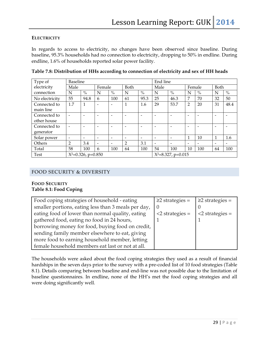#### **ELECTRICITY**

In regards to access to electricity, no changes have been observed since baseline. During baseline, 95.3% households had no connection to electricity, dropping to 50% in endline. During endline, 1.6% of households reported solar power facility.

| Type of                     | <b>Baseline</b>       |               |                          |      |                          |               | End line                 |                          |                          |                          |      |                          |
|-----------------------------|-----------------------|---------------|--------------------------|------|--------------------------|---------------|--------------------------|--------------------------|--------------------------|--------------------------|------|--------------------------|
| electricity                 | Male                  |               | Female                   |      | Both                     |               | Male                     |                          | Female                   |                          | Both |                          |
| connection                  | N                     | $\frac{0}{0}$ | N                        | $\%$ | N                        | $\frac{0}{0}$ | N                        | $\%$                     | N                        | $\%$                     | N    | $\%$                     |
| No electricity              | 55                    | 94.8          | 6                        | 100  | 61                       | 95.3          | 25                       | 46.3                     | 7                        | 70                       | 32   | 50                       |
| Connected to<br>main line   | 1.7                   | 1             |                          | ۰    | 1                        | 1.6           | 29                       | 53.7                     | $\overline{2}$           | 20                       | 31   | 48.4                     |
| Connected to<br>other house |                       |               |                          |      |                          |               |                          | ۰                        |                          |                          |      |                          |
| Connected to<br>generator   |                       |               |                          |      |                          |               |                          | $\overline{\phantom{0}}$ | $\overline{\phantom{0}}$ |                          | ٠    |                          |
| Solar power                 |                       |               |                          | ۰    | $\overline{\phantom{0}}$ |               | $\overline{\phantom{0}}$ | $\overline{\phantom{0}}$ |                          | 10                       |      | 1.6                      |
| Others                      | 2                     | 3.4           | $\overline{\phantom{0}}$ | ۰    | 2                        | 3.1           |                          | $\overline{\phantom{0}}$ | $\overline{\phantom{0}}$ | $\overline{\phantom{a}}$ | ٠    | $\overline{\phantom{0}}$ |
| Total                       | 58                    | 100           | 6                        | 100  | 64                       | 100           | 54                       | 100                      | 10                       | 100                      | 64   | 100                      |
| <b>Test</b>                 | $X^2=0.326$ , p=0.850 |               |                          |      |                          |               | $X^2=8.327$ , p=0.015    |                          |                          |                          |      |                          |

**Table 7.8: Distribution of HHs according to connection of electricity and sex of HH heads** 

#### FOOD SECURITY & DIVERSITY

#### **FOOD SECURITY Table 8.1: Food Coping**

| Food coping strategies of household - eating        | $\geq$ 2 strategies = | $\geq$ 2 strategies = |
|-----------------------------------------------------|-----------------------|-----------------------|
| smaller portions, eating less than 3 meals per day, |                       |                       |
| eating food of lower than normal quality, eating    | $<$ 2 strategies =    | $<$ 2 strategies =    |
| gathered food, eating no food in 24 hours,          |                       |                       |
| borrowing money for food, buying food on credit,    |                       |                       |
| sending family member elsewhere to eat, giving      |                       |                       |
| more food to earning household member, letting      |                       |                       |
| female household members eat last or not at all.    |                       |                       |

The households were asked about the food coping strategies they used as a result of financial hardships in the seven days prior to the survey with a pre-coded list of 10 food strategies (Table 8.1). Details comparing between baseline and end-line was not possible due to the limitation of baseline questionnaires. In endline, none of the HH's met the food coping strategies and all were doing significantly well.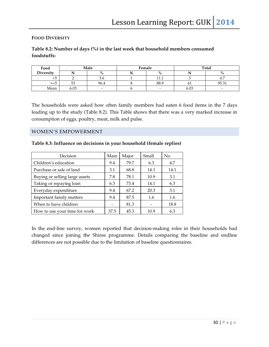#### **FOOD DIVERSITY**

#### **Table 8.2: Number of days (%) in the last week that household members consumed foodstuffs:**

| Food      |      | Male                     | Female |                          | Total |                          |  |  |
|-----------|------|--------------------------|--------|--------------------------|-------|--------------------------|--|--|
| Diversity |      | $\%$                     |        | $\%$                     |       | $\%$                     |  |  |
| <5        |      | J.U                      |        | -11-11<br><b>TT.T</b>    |       | 4.7                      |  |  |
| ל≓<       | 53   | 96.4                     |        | 88.9                     |       | 95.31                    |  |  |
| Mean      | 6.03 | $\overline{\phantom{0}}$ |        | $\overline{\phantom{0}}$ | 6.03  | $\overline{\phantom{a}}$ |  |  |

The households were asked how often family members had eaten 6 food items in the 7 days leading up to the study (Table 8.2). This Table shows that there was a very marked increase in consumption of eggs, poultry, meat, milk and pulse.

#### WOMEN'S EMPOWERMENT

#### **Table 8.3: Influence on decisions in your household (female replies)**

| Decision                       | Main | Major | Small | No   |
|--------------------------------|------|-------|-------|------|
| Children's education           | 9.4  | 79.7  | 6.3   | 4.7  |
| Purchase or sale of land       | 3.1  | 68.8  | 14.1  | 14.1 |
| Buying or selling large assets | 7.8  | 78.1  | 10.9  | 3.1  |
| Taking or repaying loan        | 6.3  | 73.4  | 14.1  | 6.3  |
| Everyday expenditure           | 9.4  | 67.2  | 20.3  | 3.1  |
| Important family matters       | 9.4  | 87.5  | 1.6   | 1.6  |
| When to have children          |      | 81.3  |       | 18.8 |
| How to use your time for work  | 37.5 | 45.3  | 10.9  | 6.3  |

In the end-line survey, women reported that decision-making roles in their households had changed since joining the Shiree programme. Details comparing the baseline and endline differences are not possible due to the limitation of baseline questionnaires.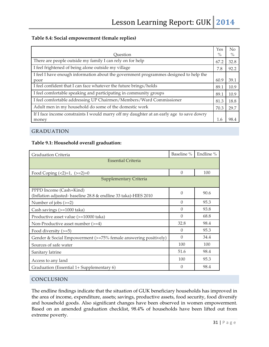#### **Table 8.4: Social empowerment (female replies)**

|                                                                                          | Yes  | N <sub>o</sub> |
|------------------------------------------------------------------------------------------|------|----------------|
| Ouestion                                                                                 | $\%$ | $\%$           |
| There are people outside my family I can rely on for help                                | 67.2 | 32.8           |
| I feel frightened of being alone outside my village                                      | 7.8  | 92.2           |
| I feel I have enough information about the government programmes designed to help the    |      |                |
| poor                                                                                     | 60.9 | 39.1           |
| I feel confident that I can face whatever the future brings/holds                        | 89.1 | 10.9           |
| I feel comfortable speaking and participating in community groups                        | 89.1 | 10.9           |
| I feel comfortable addressing UP Chairmen/Members/Ward Commissioner                      | 81.3 | 18.8           |
| Adult men in my household do some of the domestic work                                   | 70.3 | 29.7           |
| If I face income constraints I would marry off my daughter at an early age to save dowry |      |                |
| money                                                                                    | 1.6  | 98.4           |

#### GRADUATION

#### **Table 9.1: Household overall graduation:**

| <b>Graduation Criteria</b>                                                                 | Baseline % | Endline % |  |
|--------------------------------------------------------------------------------------------|------------|-----------|--|
| <b>Essential Criteria</b>                                                                  |            |           |  |
| Food Coping $(\leq2)=1$ , $(\geq=2)=0$                                                     | $\theta$   | 100       |  |
| Supplementary Criteria                                                                     |            |           |  |
| PPPD Income (Cash+Kind)<br>(Inflation adjusted- baseline 28.8 & endline 33 taka)-HIES 2010 | 0          | 90.6      |  |
| Number of jobs $(>=2)$                                                                     | $\Omega$   | 95.3      |  |
| Cash savings (>=1000 taka)                                                                 | $\theta$   | 93.8      |  |
| Productive asset value (>=10000 taka)                                                      | $\Omega$   | 68.8      |  |
| Non-Productive asset number (>=4)                                                          | 32.8       | 98.4      |  |
| Food diversity $(>=5)$                                                                     | $\Omega$   | 95.3      |  |
| Gender & Social Empowerment (>=75% female answering positively)                            | $\Omega$   | 34.4      |  |
| Sources of safe water                                                                      | 100        | 100       |  |
| Sanitary latrine                                                                           | 51.6       | 98.4      |  |
| Access to any land                                                                         | 100        | 95.3      |  |
| Graduation (Essential 1+ Supplementary 6)                                                  | $\Omega$   | 98.4      |  |

#### CONCLUSION

The endline findings indicate that the situation of GUK beneficiary households has improved in the area of income, expenditure, assets; savings, productive assets, food security, food diversify and household goods. Also significant changes have been observed in women empowerment. Based on an amended graduation checklist, 98.4**%** of households have been lifted out from extreme poverty.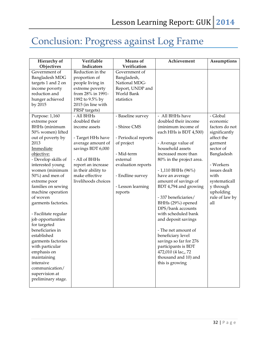# Conclusion: Progress against Log Frame

| Hierarchy of          | Verifiable          | <b>Means</b> of      | Achievement              | Assumptions    |
|-----------------------|---------------------|----------------------|--------------------------|----------------|
| Objectives            | Indicators          | Verification         |                          |                |
| Government of         | Reduction in the    | Government of        |                          |                |
| <b>Bangladesh MDG</b> | proportion of       | Bangladesh,          |                          |                |
| targets 1 and 2 on    | people living in    | National MDG-        |                          |                |
| income poverty        | extreme poverty     | Report, UNDP and     |                          |                |
| reduction and         | from 28% in 1991-   | World Bank           |                          |                |
| hunger achieved       | 1992 to 9.5% by     | statistics           |                          |                |
| by 2015               | 2015 (in line with  |                      |                          |                |
|                       | PRSP targets)       |                      |                          |                |
| Purpose: 1,160        | - All BHHs          | - Baseline survey    | - All BHHs have          | - Global       |
| extreme poor          | doubled their       |                      | doubled their income     | economic       |
| BHHs (minimum         | income assets       | - Shiree CMS         | (minimum income of       | factors do not |
| 50% women) lifted     |                     |                      | each HHs is BDT 4,500)   | significantly  |
| out of poverty by     | - Target HHs have   | - Periodical reports |                          | affect the     |
| 2013                  | average amount of   | of project           | - Average value of       | garment        |
| Immediate             | savings BDT 6,000   |                      | household assets         | sector of      |
| objective:            |                     | - Mid-term           | increased more than      | Bangladesh     |
| - Develop skills of   | - All of BHHs       | external             | 80% in the project area. |                |
| interested young      | report an increase  | evaluation reports   |                          | - Workers      |
| women (minimum        | in their ability to |                      | $-1,110$ BHHs (96%)      | issues dealt   |
| 50%) and men of       | make effective      | - Endline survey     | have an average          | with           |
| extreme poor          | livelihoods choices |                      | amount of savings of     | systematicall  |
| families on sewing    |                     | - Lesson learning    | BDT 4,794 and growing    | y through      |
| machine operation     |                     | reports              |                          | upholding      |
| of woven              |                     |                      | - 337 beneficiaries/     | rule of law by |
| garments factories.   |                     |                      | BHHs (29%) opened        | all            |
|                       |                     |                      | DPS/bank accounts        |                |
| - Facilitate regular  |                     |                      | with scheduled bank      |                |
| job opportunities     |                     |                      | and deposit savings      |                |
| for targeted          |                     |                      |                          |                |
| beneficiaries in      |                     |                      | - The net amount of      |                |
| established           |                     |                      | beneficiary level        |                |
| garments factories    |                     |                      | savings so far for 276   |                |
| with particular       |                     |                      | participants is BDT      |                |
| emphasis on           |                     |                      | 472,010 (4 lac,, 72      |                |
| maintaining           |                     |                      | thousand and 10) and     |                |
| intensive             |                     |                      | this is growing          |                |
| communication/        |                     |                      |                          |                |
| supervision at        |                     |                      |                          |                |
| preliminary stage.    |                     |                      |                          |                |
|                       |                     |                      |                          |                |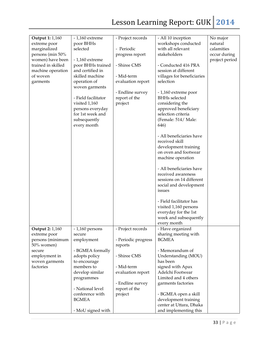# Lesson Learning Report: GUK 2014

| Output 1: 1,160        | $-1,160$ extreme               | - Project records   | - All 10 inception                      | No major       |
|------------------------|--------------------------------|---------------------|-----------------------------------------|----------------|
| extreme poor           | poor BHHs                      |                     | workshops conducted                     | natural        |
| marginalized           | selected                       | - Periodic          | with all relevant                       | calamities     |
| persons (min 50%       |                                | progress report     | stakeholders                            | occur during   |
| women) have been       | $-1,160$ extreme               |                     |                                         | project period |
| trained in skilled     | poor BHHs trained              | - Shiree CMS        | - Conducted 416 PRA                     |                |
|                        | and certified in               |                     | session at different                    |                |
| machine operation      | skilled machine                | - Mid-term          |                                         |                |
| of woven               |                                |                     | villages for beneficiaries<br>selection |                |
| garments               | operation of<br>woven garments | evaluation report   |                                         |                |
|                        |                                | - Endline survey    | - 1,160 extreme poor                    |                |
|                        | - Field facilitator            | report of the       | <b>BHHs</b> selected                    |                |
|                        | visited 1,160                  | project             | considering the                         |                |
|                        | persons everyday               |                     | approved beneficiary                    |                |
|                        | for 1st week and               |                     | selection criteria                      |                |
|                        | subsequently                   |                     | (Female: 514/ Male:                     |                |
|                        | every month                    |                     | 646)                                    |                |
|                        |                                |                     | - All beneficiaries have                |                |
|                        |                                |                     | received skill                          |                |
|                        |                                |                     | development training                    |                |
|                        |                                |                     | on oven and footwear                    |                |
|                        |                                |                     | machine operation                       |                |
|                        |                                |                     | - All beneficiaries have                |                |
|                        |                                |                     | received awareness                      |                |
|                        |                                |                     | sessions on 14 different                |                |
|                        |                                |                     | social and development                  |                |
|                        |                                |                     | issues                                  |                |
|                        |                                |                     | - Field facilitator has                 |                |
|                        |                                |                     | visited 1,160 persons                   |                |
|                        |                                |                     | everyday for the 1st                    |                |
|                        |                                |                     | week and subsequently                   |                |
|                        |                                |                     | every month                             |                |
| <b>Output 2: 1,160</b> | $-1,160$ persons               | - Project records   | - Have organized                        |                |
| extreme poor           | secure                         |                     | sharing meeting with                    |                |
| persons (minimum       | employment                     | - Periodic progress | <b>BGMEA</b>                            |                |
| 50% women)             |                                | reports             |                                         |                |
| secure                 | - BGMEA formally               |                     | - Memorandum of                         |                |
| employment in          | adopts policy                  | - Shiree CMS        | Understanding (MOU)                     |                |
| woven garments         | to encourage                   |                     | has been                                |                |
| factories              | members to                     | - Mid-term          | signed with Apax                        |                |
|                        | develop similar                | evaluation report   | Adelchi Footwear                        |                |
|                        | programmes                     |                     | Limited and 4 others                    |                |
|                        |                                | - Endline survey    | garments factories                      |                |
|                        | - National level               | report of the       |                                         |                |
|                        | conference with                | project             | - BGMEA open a skill                    |                |
|                        | <b>BGMEA</b>                   |                     | development training                    |                |
|                        |                                |                     | center at Uttara, Dhaka                 |                |
|                        | - MoU signed with              |                     | and implementing this                   |                |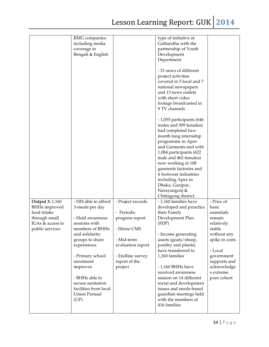|                        | RMG companies         |                   | type of initiative at     |                |
|------------------------|-----------------------|-------------------|---------------------------|----------------|
|                        | including media       |                   | Gaibandha with the        |                |
|                        | coverage in           |                   | partnership of Youth      |                |
|                        | Bengali & English     |                   | Development               |                |
|                        |                       |                   | Department                |                |
|                        |                       |                   |                           |                |
|                        |                       |                   | - 21 news of different    |                |
|                        |                       |                   | project activities        |                |
|                        |                       |                   | covered in 5 local and 7  |                |
|                        |                       |                   | national newspapers       |                |
|                        |                       |                   |                           |                |
|                        |                       |                   | and 13 news outlets       |                |
|                        |                       |                   | with short video          |                |
|                        |                       |                   | footage broadcasted in    |                |
|                        |                       |                   | 9 TV channels             |                |
|                        |                       |                   | - 1,055 participants (646 |                |
|                        |                       |                   | males and 509 females)    |                |
|                        |                       |                   | had completed two-        |                |
|                        |                       |                   | month long internship     |                |
|                        |                       |                   | programme in Apex         |                |
|                        |                       |                   | and Garments and with     |                |
|                        |                       |                   | 1,084 participants (622   |                |
|                        |                       |                   | male and 462 females)     |                |
|                        |                       |                   |                           |                |
|                        |                       |                   | now working at 108        |                |
|                        |                       |                   | garments factories and    |                |
|                        |                       |                   | 4 footwear industries     |                |
|                        |                       |                   | including Apex in         |                |
|                        |                       |                   | Dhaka, Gazipur,           |                |
|                        |                       |                   | Narayangonj &             |                |
|                        |                       |                   | Chittagong district.      |                |
| <b>Output 3: 1,160</b> | - HH able to afford   | - Project records | - 1,160 families have     | - Price of     |
| <b>BHHs</b> improved   | 3-meals per day       |                   | developed and prractice   | basic          |
| food intake            |                       | - Periodic        | their Family              | essentials     |
| through small          | - Hold awareness      | progress report   | Development Plan          | remain         |
| IGAs & access to       | sessions with         |                   | (FDP)                     | relatively     |
| public services        | members of BHHs       | - Shiree CMS      |                           | stable         |
|                        | and solidarity        |                   | - Income generating       | without any    |
|                        | groups to share       | - Mid-term        | assets (goats/sheep,      | spike in costs |
|                        | experiences           | evaluation report | poultry and plants)       |                |
|                        |                       |                   | have transferred to       | - Local        |
|                        | - Primary school      | - Endline survey  | 1,160 families            | government     |
|                        | enrolment             | report of the     |                           | supports and   |
|                        | improves              | project           | - 1,160 BHHs have         | acknowledge    |
|                        |                       |                   | received awareness        | s extreme      |
|                        | - BHHs able to        |                   | session on 14 different   | poor cohort    |
|                        |                       |                   |                           |                |
|                        | secure sanitation     |                   | social and development    |                |
|                        | facilities from local |                   | issues and needs-based    |                |
|                        | Union Parisad         |                   | guardian meetings held    |                |
|                        | (UP)                  |                   | with the members of       |                |
|                        |                       |                   | 416 families              |                |
|                        |                       |                   |                           |                |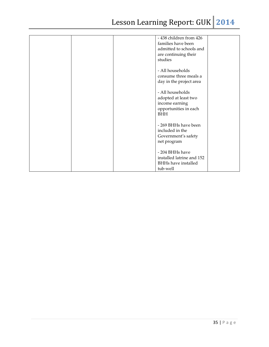| - 438 children from 426<br>families have been<br>admitted to schools and<br>are continuing their<br>studies |
|-------------------------------------------------------------------------------------------------------------|
| - All households<br>consume three meals a<br>day in the project area                                        |
| - All households<br>adopted at least two<br>income earning<br>opportunities in each<br><b>BHH</b>           |
| - 269 BHHs have been<br>included in the<br>Government's safety<br>net program                               |
| - 204 BHHs have<br>installed latrine and 152<br><b>BHHs have installed</b><br>tub-well                      |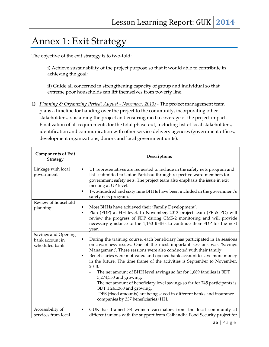### Annex 1: Exit Strategy

The objective of the exit strategy is to two-fold:

i) Achieve sustainability of the project purpose so that it would able to contribute in achieving the goal;

ii) Guide all concerned in strengthening capacity of group and individual so that extreme poor households can lift themselves from poverty line.

**1)** *Planning & Organizing Period( August - November, 2013) -* The project management team plans a timeline for handing over the project to the community, incorporating other stakeholders, sustaining the project and ensuring media coverage of the project impact. Finalization of all requirements for the total phase-out, including list of local stakeholders, identification and communication with other service delivery agencies (government offices, development organizations, donors and local government units).

| <b>Components of Exit</b><br><b>Strategy</b>             | Descriptions                                                                                                                                                                                                                                                                                                                                                                                                                                                                                                                                                                                                                                                                                                                              |
|----------------------------------------------------------|-------------------------------------------------------------------------------------------------------------------------------------------------------------------------------------------------------------------------------------------------------------------------------------------------------------------------------------------------------------------------------------------------------------------------------------------------------------------------------------------------------------------------------------------------------------------------------------------------------------------------------------------------------------------------------------------------------------------------------------------|
| Linkage with local<br>government                         | UP representatives are requested to include in the safety nets program and<br>$\bullet$<br>list submitted to Union Parishad through respective ward members for<br>government safety nets. The project team also emphasis the issue in exit<br>meeting at UP level.<br>Two-hundred and sixty nine BHHs have been included in the government's<br>٠<br>safety nets program.                                                                                                                                                                                                                                                                                                                                                                |
| Review of household<br>planning                          | Most BHHs have achieved their 'Family Development'.<br>$\bullet$<br>Plan (FDP) at HH level. In November, 2013 project team (FF & PO) will<br>$\bullet$<br>review the progress of FDP during CMS-2 monitoring and will provide<br>necessary guidance to the 1,160 BHHs to continue their FDP for the next<br>year.                                                                                                                                                                                                                                                                                                                                                                                                                         |
| Savings and Opening<br>bank account in<br>scheduled bank | During the training course, each beneficiary has participated in 14 sessions<br>٠<br>on awareness issues. One of the most important sessions was 'Savings<br>Management'. These sessions were also conducted with their family.<br>Beneficiaries were motivated and opened bank account to save more money<br>$\bullet$<br>in the future. The time frame of the activities is September to November,<br>2013.<br>The net amount of BHH level savings so far for 1,089 families is BDT<br>5,274,550 and growing.<br>The net amount of beneficiary level savings so far for 745 participants is<br>BDT 1,241,360 and growing.<br>DPS (fixed amounts) are being saved in different banks and insurance<br>companies by 337 beneficiaries/HH. |
| Accessibility of<br>services from local                  | GUK has trained 38 women vaccinators from the local community at<br>$\bullet$<br>different unions with the support from Gaibandha Food Security project for                                                                                                                                                                                                                                                                                                                                                                                                                                                                                                                                                                               |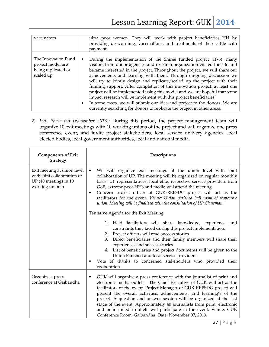| vaccinators                                                                  | ultra poor women. They will work with project beneficiaries HH by<br>providing de-worming, vaccinations, and treatments of their cattle with<br>payment.                                                                                                                                                                                                                                                                                                                                                                                                                                                                                                                                                                                                                                |
|------------------------------------------------------------------------------|-----------------------------------------------------------------------------------------------------------------------------------------------------------------------------------------------------------------------------------------------------------------------------------------------------------------------------------------------------------------------------------------------------------------------------------------------------------------------------------------------------------------------------------------------------------------------------------------------------------------------------------------------------------------------------------------------------------------------------------------------------------------------------------------|
| The Innovation Fund<br>project model are<br>being replicated or<br>scaled up | During the implementation of the Shiree funded project (IF-3), many<br>٠<br>visitors from donor agencies and research organization visited the site and<br>became interested in the project. Throughout the project, we will share our<br>achievements and learning with them. Through on-going discussion we<br>will try to jointly design and replicate/scaled up the project with their<br>funding support. After completion of this innovation project, at least one<br>project will be implemented using this model and we are hopeful that some<br>impact research will be implement with this project beneficiaries'<br>In some cases, we will submit our idea and project to the donors. We are<br>٠<br>currently searching for donors to replicate the project in other areas. |

2) *Full Phase out (November 2013):* During this period, the project management team will organize 10 exit meetings with 10 working unions of the project and will organize one press conference event, and invite project stakeholders, local service delivery agencies, local elected bodies, local government authorities, local and national media.

| <b>Components of Exit</b><br><b>Strategy</b>                                                           | Descriptions                                                                                                                                                                                                                                                                                                                                                                                                                                                                                                                                                                        |
|--------------------------------------------------------------------------------------------------------|-------------------------------------------------------------------------------------------------------------------------------------------------------------------------------------------------------------------------------------------------------------------------------------------------------------------------------------------------------------------------------------------------------------------------------------------------------------------------------------------------------------------------------------------------------------------------------------|
| Exit meeting at union level<br>with joint collaboration of<br>UP (10 meetings in 10<br>working unions) | We will organize exit meetings at the union level with joint<br>$\bullet$<br>collaboration of UP. The meeting will be organized on regular monthly<br>basis. UP representatives, local elite, respective service providers from<br>GoB, extreme poor HHs and media will attend the meeting.<br>Concern project officer of GUK-REPSDG project will act as the<br>$\bullet$<br>facilitators for the event. Venue: Union parished hall room of respective<br>union. Meeting will be finalized with the consultation of UP Chairman.                                                    |
|                                                                                                        | Tentative Agenda for the Exit Meeting:<br>Field facilitators will share knowledge, experience and<br>1.<br>constraints they faced during this project implementation.<br>Project officers will read success stories.<br>2.<br>Direct beneficiaries and their family members will share their<br>3.<br>experiences and success stories.<br>List of beneficiaries and project documents will be given to the<br>4.<br>Union Parished and local service providers.<br>Vote of thanks to concerned stakeholders who provided their<br>cooperation.                                      |
| Organize a press<br>conference at Gaibandha                                                            | GUK will organize a press conference with the journalist of print and<br>٠<br>electronic media outlets. The Chief Executive of GUK will act as the<br>facilitators of the event. Project Manager of GUK-REPSDG project will<br>present the overall activities, achievements, and learning's of the<br>project. A question and answer session will be organized at the last<br>stage of the event. Approximately 40 journalists from print, electronic<br>and online media outlets will participate in the event. Venue: GUK<br>Conference Room, Gaibandha, Date: November 07, 2013. |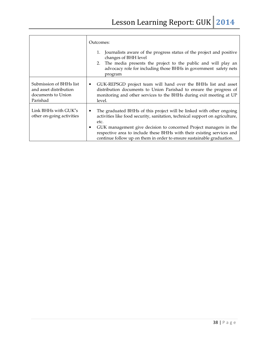|                                                                                     | Outcomes:<br>Journalists aware of the progress status of the project and positive<br>changes of BHH level<br>2. The media presents the project to the public and will play an<br>advocacy role for including those BHHs in government safety nets<br>program                                                                                                                                   |
|-------------------------------------------------------------------------------------|------------------------------------------------------------------------------------------------------------------------------------------------------------------------------------------------------------------------------------------------------------------------------------------------------------------------------------------------------------------------------------------------|
| Submission of BHHs list<br>and asset distribution<br>documents to Union<br>Parishad | GUK-REPSGD project team will hand over the BHHs list and asset<br>$\bullet$<br>distribution documents to Union Parishad to ensure the progress of<br>monitoring and other services to the BHHs during exit meeting at UP<br>level.                                                                                                                                                             |
| Link BHHs with GUK"s<br>other on-going activities                                   | The graduated BHHs of this project will be linked with other ongoing<br>٠<br>activities like food security, sanitation, technical support on agriculture,<br>etc.<br>GUK management give decision to concerned Project managers in the<br>٠<br>respective area to include these BHHs with their existing services and<br>continue follow up on them in order to ensure sustainable graduation. |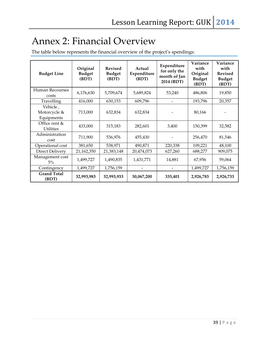### Annex 2: Financial Overview

The table below represents the financial overview of the project's spendings:

| <b>Budget Line</b>                     | Original<br><b>Budget</b><br>(BDT) | <b>Revised</b><br><b>Budget</b><br>(BDT) | Actual<br>Expenditure<br>(BDT) | Expenditure<br>for only the<br>month of Jan<br>2014 (BDT) | Variance<br>with<br>Original<br><b>Budget</b><br>(BDT) | Variance<br>with<br><b>Revised</b><br><b>Budget</b><br>(BDT) |
|----------------------------------------|------------------------------------|------------------------------------------|--------------------------------|-----------------------------------------------------------|--------------------------------------------------------|--------------------------------------------------------------|
| Human Recourses<br>costs               | 6,176,630                          | 5,709,674                                | 5,689,824                      | 53,240                                                    | 486,806                                                | 19,850                                                       |
| Travelling                             | 416,000                            | 630,153                                  | 609,796                        |                                                           | 193,796                                                | 20,357                                                       |
| Vehicle,<br>Motorcycle &<br>Equipments | 713,000                            | 632,834                                  | 632,834                        |                                                           | 80,166                                                 |                                                              |
| Office rent &<br><b>Utilities</b>      | 433,000                            | 315,183                                  | 282,601                        | 3,400                                                     | 150,399                                                | 32,582                                                       |
| Administration<br>cost                 | 711,900                            | 536,976                                  | 455,430                        |                                                           | 256,470                                                | 81,546                                                       |
| Operational cost                       | 381,650                            | 538,971                                  | 490,871                        | 220,338                                                   | 109,221                                                | 48,100                                                       |
| Direct Delivery                        | 21,162,350                         | 21,383,148                               | 20,474,073                     | 627,260                                                   | 688,277                                                | 909,075                                                      |
| Management cost<br>5%                  | 1,499,727                          | 1,490,835                                | 1,431,771                      | 14,881                                                    | 67,956                                                 | 59,064                                                       |
| Contingency                            | 1,499,727                          | 1,756,159                                |                                |                                                           | 1,499,727                                              | 1,756,159                                                    |
| <b>Grand Total</b><br>(BDT)            | 32,993,983                         | 32,993,933                               | 30,067,200                     | 335,401                                                   | 2,926,783                                              | 2,926,733                                                    |